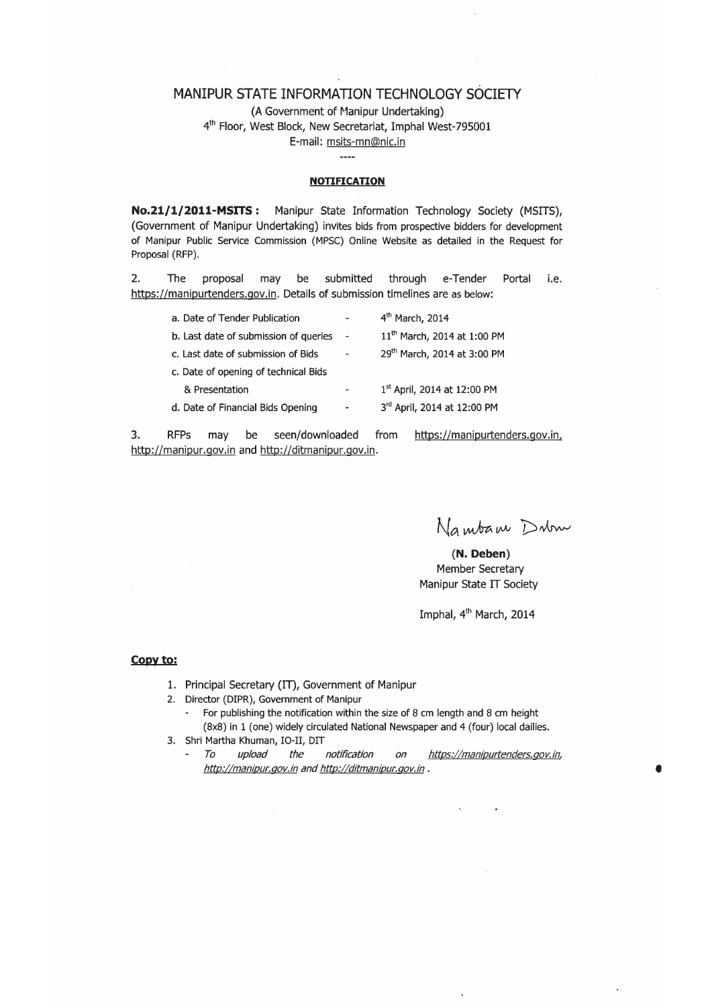#### MANIPUR STATE INFORMATION TECHNOLOGY SOCIETY

(A Government of Manipur Undertaking) 4<sup>th</sup> Floor, West Block, New Secretariat, Imphal West-795001 E-mail: msits-mn@nic.in

 $---$ 

#### **NOTIFICATION**

No.21/1/2011-MSITS: Manipur State Information Technology Society (MSITS), (Government of Manipur Undertaking) invites bids from prospective bidders for development of Manipur Public Service Commission (MPSC) Online Website as detailed in the Request for Proposal (RFP).

2. The proposal may be submitted through e-Tender Portal i.e. https://manipurtenders.gov.in. Details of submission timelines are as below:

| a. Date of Tender Publication         |                          | 4 <sup>th</sup> March, 2014             |
|---------------------------------------|--------------------------|-----------------------------------------|
| b. Last date of submission of queries | $\overline{\phantom{a}}$ | 11 <sup>th</sup> March, 2014 at 1:00 PM |
| c. Last date of submission of Bids    | ۰                        | 29th March, 2014 at 3:00 PM             |
| c. Date of opening of technical Bids  |                          |                                         |
| & Presentation                        | ۰                        | 1st April, 2014 at 12:00 PM             |
| d. Date of Financial Bids Opening     |                          | 3rd April, 2014 at 12:00 PM             |
|                                       |                          |                                         |

 $3.$ **RFPs** seen/downloaded from https://manipurtenders.gov.in, may be http://manipur.gov.in and http://ditmanipur.gov.in.

Nambam Dum

(N. Deben) Member Secretary Manipur State IT Society

Imphal, 4<sup>th</sup> March, 2014

#### Copy to:

- 1. Principal Secretary (IT), Government of Manipur
- 2. Director (DIPR), Government of Manipur
	- For publishing the notification within the size of 8 cm length and 8 cm height  $\sim$ (8x8) in 1 (one) widely circulated National Newspaper and 4 (four) local dailies.
- 3. Shri Martha Khuman, IO-II, DIT
	- To upload the notification  $\overline{on}$ https://manipurtenders.gov.in,  $\mathbf{r}$ http://manipur.gov.in and http://ditmanipur.gov.in.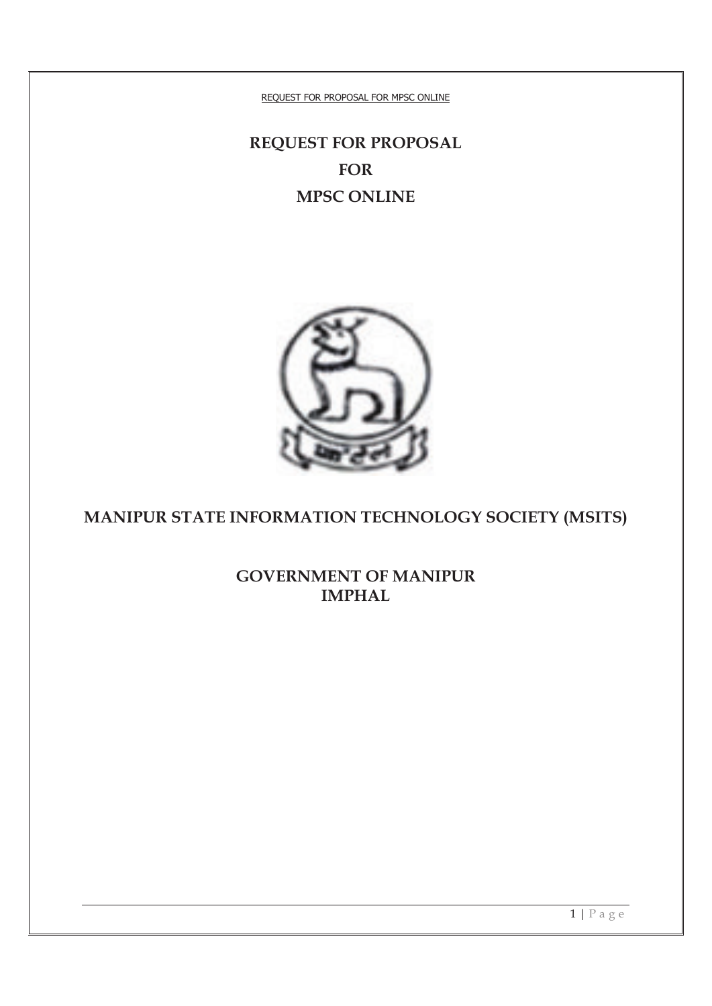# **REQUEST FOR PROPOSAL FOR MPSC ONLINE**



# **MANIPUR STATE INFORMATION TECHNOLOGY SOCIETY (MSITS)**

**GOVERNMENT OF MANIPUR IMPHAL**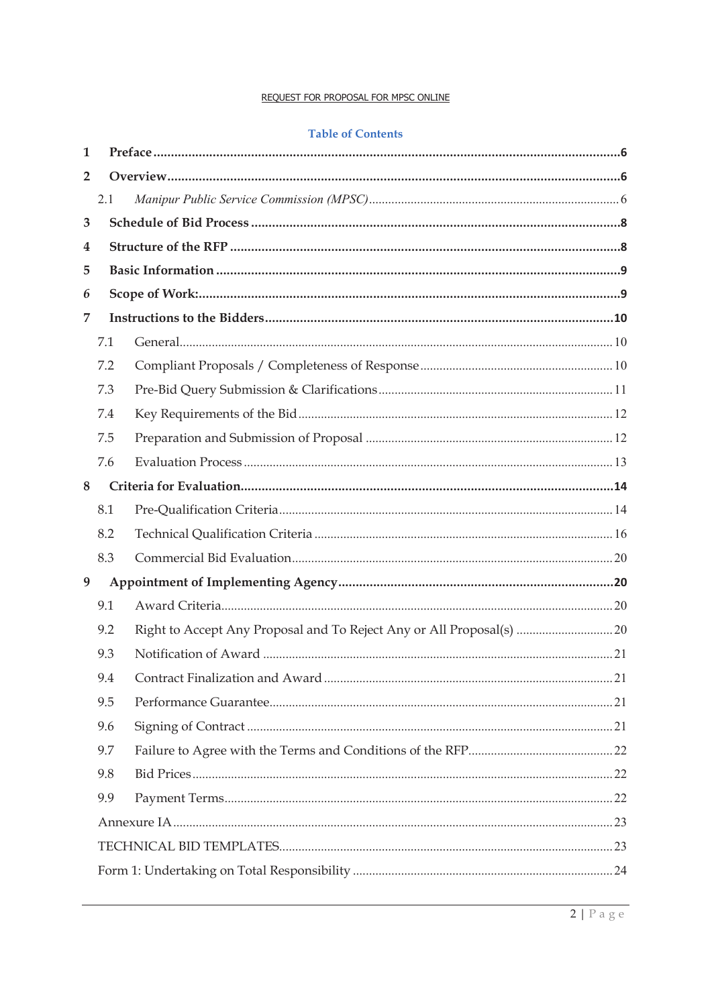#### **Table of Contents**

| 1              |     |  |
|----------------|-----|--|
| $\overline{2}$ |     |  |
|                | 2.1 |  |
| 3              |     |  |
| 4              |     |  |
| 5              |     |  |
| 6              |     |  |
| 7              |     |  |
|                | 7.1 |  |
|                | 7.2 |  |
|                | 7.3 |  |
|                | 7.4 |  |
|                | 7.5 |  |
|                | 7.6 |  |
| 8              |     |  |
|                | 8.1 |  |
|                | 8.2 |  |
|                | 8.3 |  |
| 9              |     |  |
|                | 9.1 |  |
|                | 9.2 |  |
|                | 9.3 |  |
|                | 9.4 |  |
|                | 9.5 |  |
|                | 9.6 |  |
|                | 9.7 |  |
|                | 9.8 |  |
|                | 9.9 |  |
|                |     |  |
|                |     |  |
|                |     |  |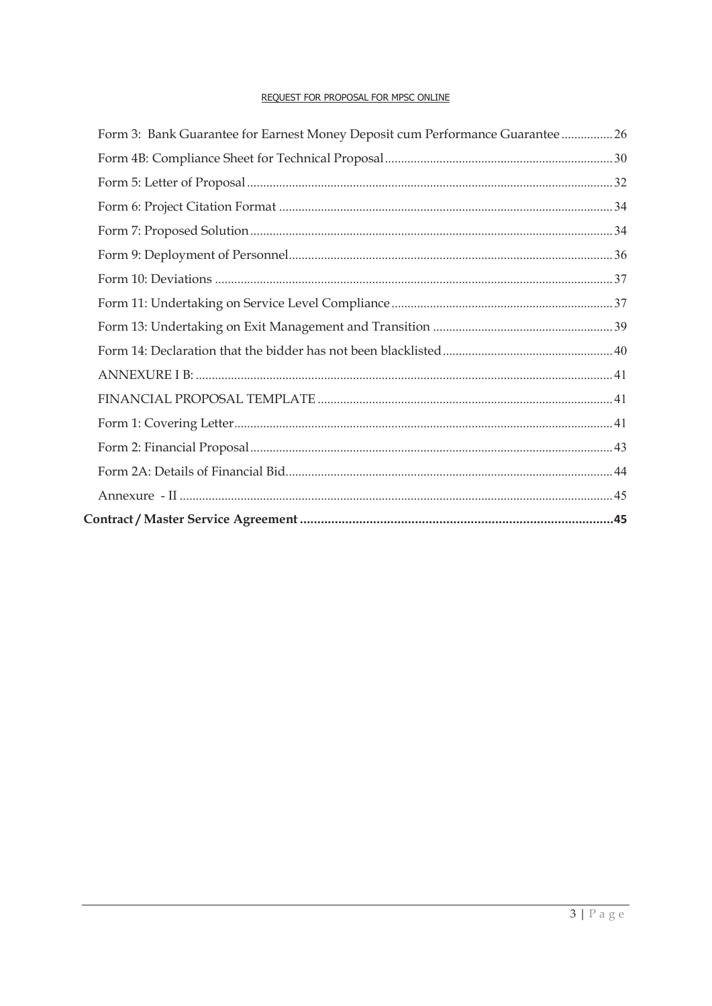| Form 3: Bank Guarantee for Earnest Money Deposit cum Performance Guarantee  26 |  |
|--------------------------------------------------------------------------------|--|
|                                                                                |  |
|                                                                                |  |
|                                                                                |  |
|                                                                                |  |
|                                                                                |  |
|                                                                                |  |
|                                                                                |  |
|                                                                                |  |
|                                                                                |  |
|                                                                                |  |
|                                                                                |  |
|                                                                                |  |
|                                                                                |  |
|                                                                                |  |
|                                                                                |  |
|                                                                                |  |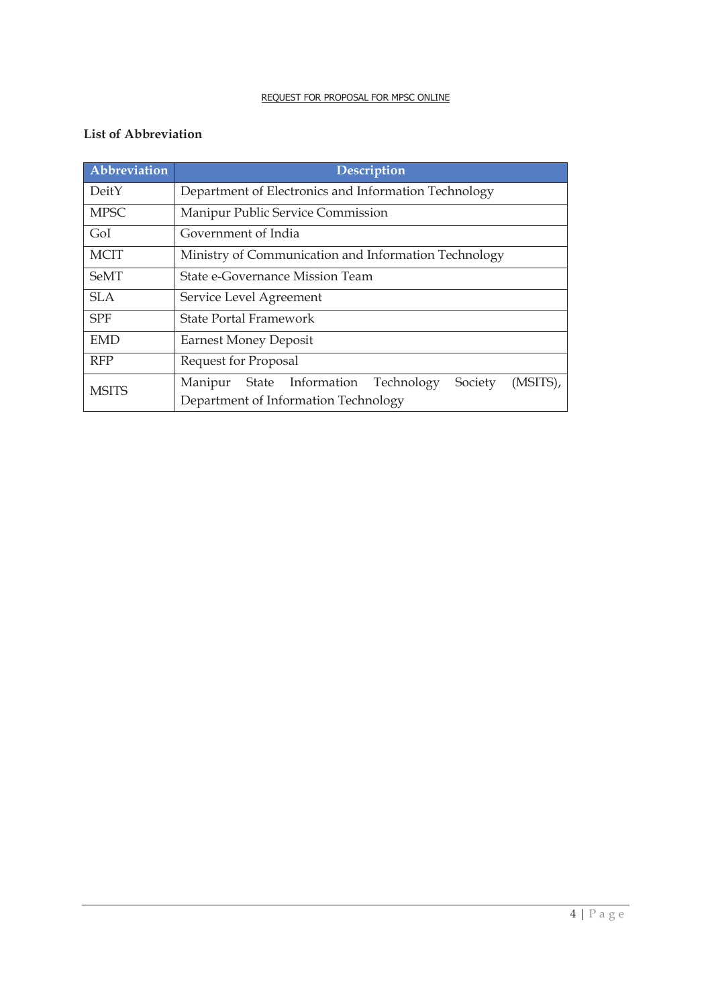# **List of Abbreviation**

| Abbreviation | <b>Description</b>                                                                                        |  |  |  |
|--------------|-----------------------------------------------------------------------------------------------------------|--|--|--|
| DeitY        | Department of Electronics and Information Technology                                                      |  |  |  |
| <b>MPSC</b>  | Manipur Public Service Commission                                                                         |  |  |  |
| GoI          | Government of India                                                                                       |  |  |  |
| <b>MCIT</b>  | Ministry of Communication and Information Technology                                                      |  |  |  |
| <b>SeMT</b>  | State e-Governance Mission Team                                                                           |  |  |  |
| <b>SLA</b>   | Service Level Agreement                                                                                   |  |  |  |
| <b>SPF</b>   | State Portal Framework                                                                                    |  |  |  |
| <b>EMD</b>   | <b>Earnest Money Deposit</b>                                                                              |  |  |  |
| <b>RFP</b>   | Request for Proposal                                                                                      |  |  |  |
| <b>MSITS</b> | State Information<br>Technology<br>(MSITS),<br>Society<br>Manipur<br>Department of Information Technology |  |  |  |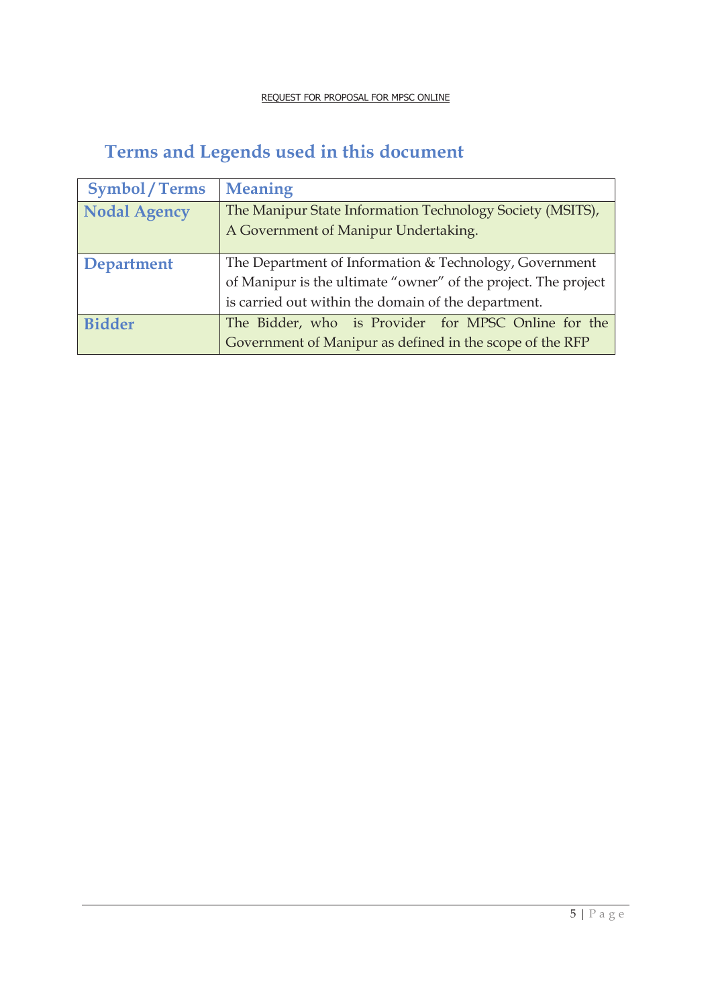# **Terms and Legends used in this document**

| <b>Symbol/Terms</b> | <b>Meaning</b>                                                 |  |  |  |
|---------------------|----------------------------------------------------------------|--|--|--|
| <b>Nodal Agency</b> | The Manipur State Information Technology Society (MSITS),      |  |  |  |
|                     | A Government of Manipur Undertaking.                           |  |  |  |
|                     |                                                                |  |  |  |
| <b>Department</b>   | The Department of Information & Technology, Government         |  |  |  |
|                     | of Manipur is the ultimate "owner" of the project. The project |  |  |  |
|                     | is carried out within the domain of the department.            |  |  |  |
| <b>Bidder</b>       | The Bidder, who is Provider for MPSC Online for the            |  |  |  |
|                     | Government of Manipur as defined in the scope of the RFP       |  |  |  |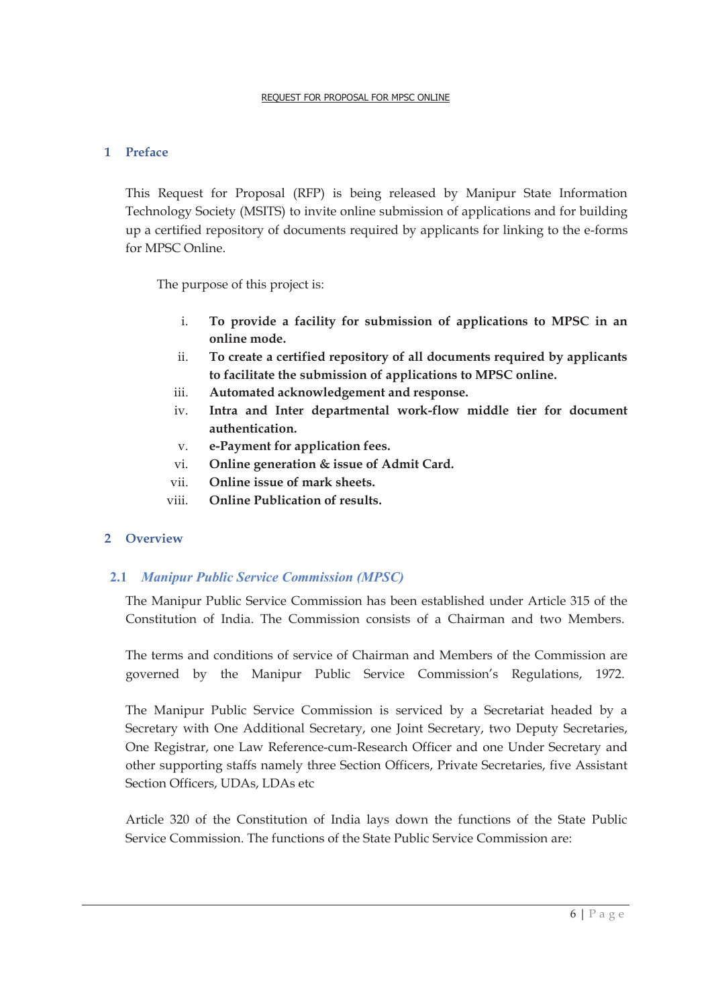#### **1 Preface**

This Request for Proposal (RFP) is being released by Manipur State Information Technology Society (MSITS) to invite online submission of applications and for building up a certified repository of documents required by applicants for linking to the e-forms for MPSC Online.

The purpose of this project is:

- i. **To provide a facility for submission of applications to MPSC in an online mode.**
- ii. **To create a certified repository of all documents required by applicants to facilitate the submission of applications to MPSC online.**
- iii. **Automated acknowledgement and response.**
- iv. **Intra and Inter departmental work-flow middle tier for document authentication.**
- v. **e-Payment for application fees.**
- vi. **Online generation & issue of Admit Card.**
- vii. **Online issue of mark sheets.**
- viii. **Online Publication of results.**

# **2 Overview**

# **2.1** *Manipur Public Service Commission (MPSC)*

The Manipur Public Service Commission has been established under Article 315 of the Constitution of India. The Commission consists of a Chairman and two Members.

The terms and conditions of service of Chairman and Members of the Commission are governed by the Manipur Public Service Commission's Regulations, 1972.

The Manipur Public Service Commission is serviced by a Secretariat headed by a Secretary with One Additional Secretary, one Joint Secretary, two Deputy Secretaries, One Registrar, one Law Reference-cum-Research Officer and one Under Secretary and other supporting staffs namely three Section Officers, Private Secretaries, five Assistant Section Officers, UDAs, LDAs etc

Article 320 of the Constitution of India lays down the functions of the State Public Service Commission. The functions of the State Public Service Commission are: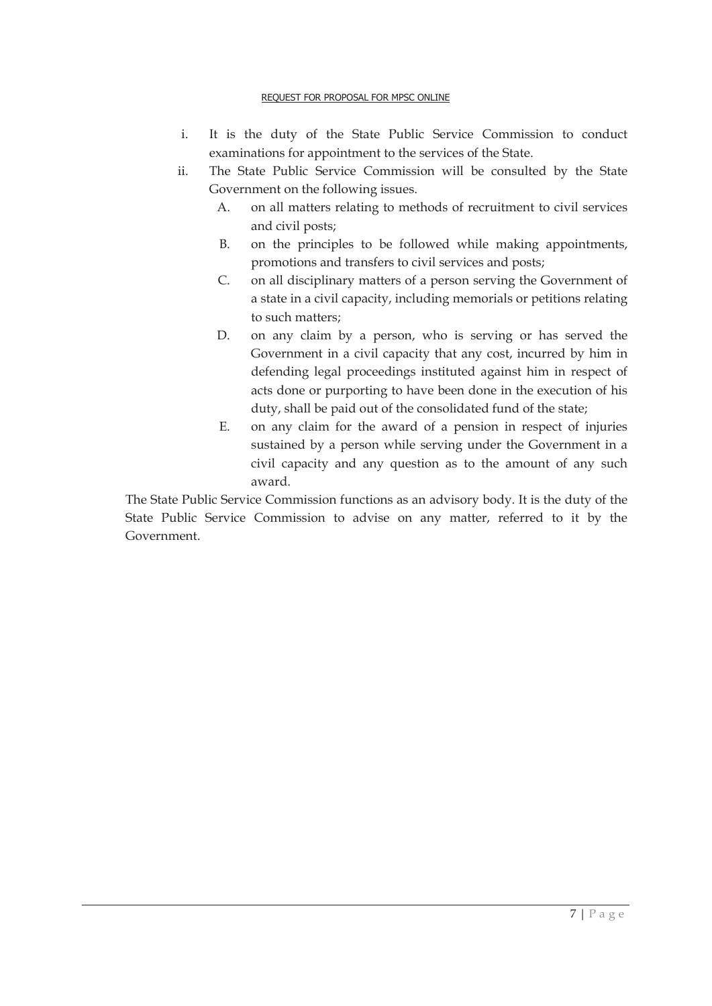- i. It is the duty of the State Public Service Commission to conduct examinations for appointment to the services of the State.
- ii. The State Public Service Commission will be consulted by the State Government on the following issues.
	- A. on all matters relating to methods of recruitment to civil services and civil posts;
	- B. on the principles to be followed while making appointments, promotions and transfers to civil services and posts;
	- C. on all disciplinary matters of a person serving the Government of a state in a civil capacity, including memorials or petitions relating to such matters;
	- D. on any claim by a person, who is serving or has served the Government in a civil capacity that any cost, incurred by him in defending legal proceedings instituted against him in respect of acts done or purporting to have been done in the execution of his duty, shall be paid out of the consolidated fund of the state;
	- E. on any claim for the award of a pension in respect of injuries sustained by a person while serving under the Government in a civil capacity and any question as to the amount of any such award.

The State Public Service Commission functions as an advisory body. It is the duty of the State Public Service Commission to advise on any matter, referred to it by the Government.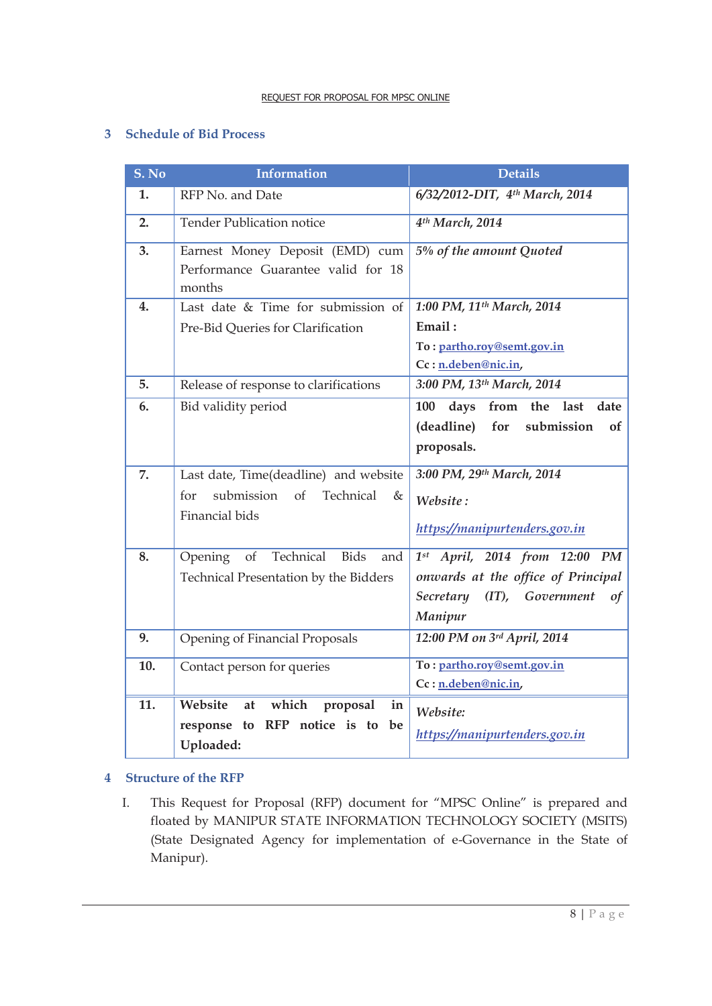#### **3 Schedule of Bid Process**

| S. No | <b>Information</b>                                                                                | <b>Details</b>                                                                                                                  |  |  |
|-------|---------------------------------------------------------------------------------------------------|---------------------------------------------------------------------------------------------------------------------------------|--|--|
| 1.    | RFP No. and Date                                                                                  | 6/32/2012-DIT, 4th March, 2014                                                                                                  |  |  |
| 2.    | <b>Tender Publication notice</b>                                                                  | 4 <sup>th</sup> March, 2014                                                                                                     |  |  |
| 3.    | Earnest Money Deposit (EMD) cum<br>Performance Guarantee valid for 18<br>months                   | 5% of the amount Quoted                                                                                                         |  |  |
| 4.    | Last date & Time for submission of                                                                | 1:00 PM, 11 <sup>th</sup> March, 2014                                                                                           |  |  |
|       | Pre-Bid Queries for Clarification                                                                 | Email:<br>To: partho.roy@semt.gov.in<br>Cc: n.deben@nic.in,                                                                     |  |  |
| 5.    | Release of response to clarifications                                                             | 3:00 PM, 13th March, 2014                                                                                                       |  |  |
| 6.    | Bid validity period                                                                               | days<br>from the last<br>date<br>100                                                                                            |  |  |
|       |                                                                                                   | (deadline)<br>for<br>submission<br>of<br>proposals.                                                                             |  |  |
| 7.    | Last date, Time(deadline) and website<br>submission of<br>Technical<br>for<br>&<br>Financial bids | 3:00 PM, 29th March, 2014<br>Website:<br>https://manipurtenders.gov.in                                                          |  |  |
| 8.    | Technical<br>Bids<br>Opening<br>of<br>and<br>Technical Presentation by the Bidders                | $1^{st}$ April, 2014 from 12:00 PM<br>onwards at the office of Principal<br>Secretary (IT), Government<br>$\sigma f$<br>Manipur |  |  |
| 9.    | Opening of Financial Proposals                                                                    | 12:00 PM on 3rd April, 2014                                                                                                     |  |  |
| 10.   | Contact person for queries                                                                        | To: partho.roy@semt.gov.in<br>Cc: n.deben@nic.in,                                                                               |  |  |
| 11.   | Website<br>which<br>proposal<br>at<br>in<br>response to RFP notice is to be<br>Uploaded:          | Website:<br>https://manipurtenders.gov.in                                                                                       |  |  |

#### **4 Structure of the RFP**

I. This Request for Proposal (RFP) document for "MPSC Online" is prepared and floated by MANIPUR STATE INFORMATION TECHNOLOGY SOCIETY (MSITS) (State Designated Agency for implementation of e-Governance in the State of Manipur).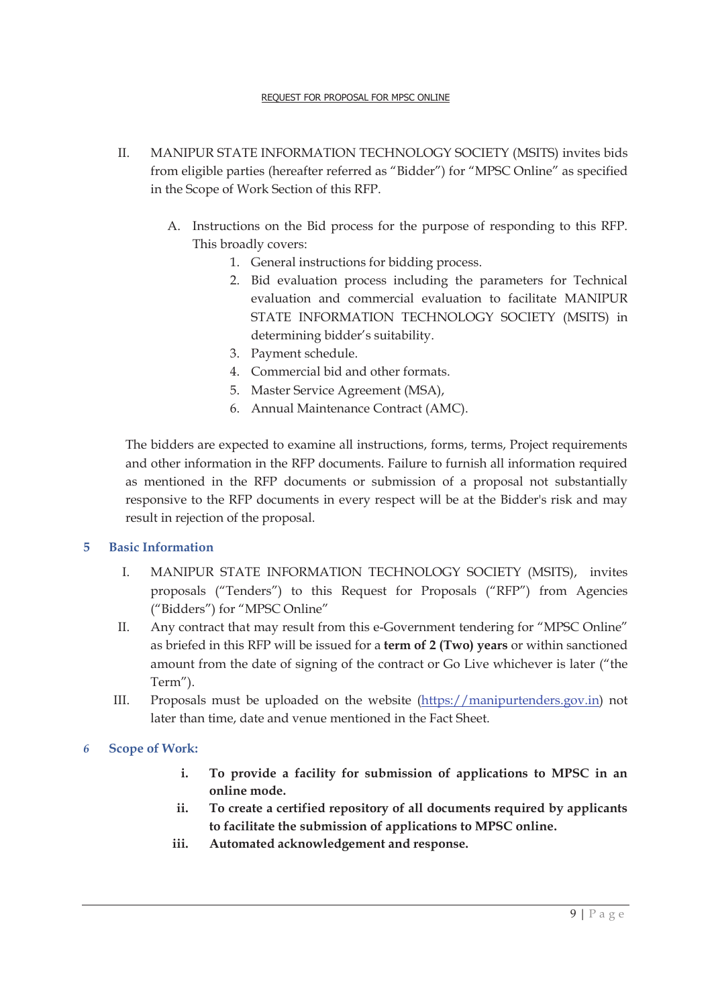- II. MANIPUR STATE INFORMATION TECHNOLOGY SOCIETY (MSITS) invites bids from eligible parties (hereafter referred as "Bidder") for "MPSC Online" as specified in the Scope of Work Section of this RFP.
	- A. Instructions on the Bid process for the purpose of responding to this RFP. This broadly covers:
		- 1. General instructions for bidding process.
		- 2. Bid evaluation process including the parameters for Technical evaluation and commercial evaluation to facilitate MANIPUR STATE INFORMATION TECHNOLOGY SOCIETY (MSITS) in determining bidder's suitability.
		- 3. Payment schedule.
		- 4. Commercial bid and other formats.
		- 5. Master Service Agreement (MSA),
		- 6. Annual Maintenance Contract (AMC).

The bidders are expected to examine all instructions, forms, terms, Project requirements and other information in the RFP documents. Failure to furnish all information required as mentioned in the RFP documents or submission of a proposal not substantially responsive to the RFP documents in every respect will be at the Bidder's risk and may result in rejection of the proposal.

#### **5 Basic Information**

- I. MANIPUR STATE INFORMATION TECHNOLOGY SOCIETY (MSITS), invites proposals ("Tenders") to this Request for Proposals ("RFP") from Agencies ("Bidders") for "MPSC Online"
- II. Any contract that may result from this e-Government tendering for "MPSC Online" as briefed in this RFP will be issued for a **term of 2 (Two) years** or within sanctioned amount from the date of signing of the contract or Go Live whichever is later ("the Term").
- III. Proposals must be uploaded on the website (https://manipurtenders.gov.in) not later than time, date and venue mentioned in the Fact Sheet.

#### *6* **Scope of Work:**

- **i. To provide a facility for submission of applications to MPSC in an online mode.**
- **ii. To create a certified repository of all documents required by applicants to facilitate the submission of applications to MPSC online.**
- **iii. Automated acknowledgement and response.**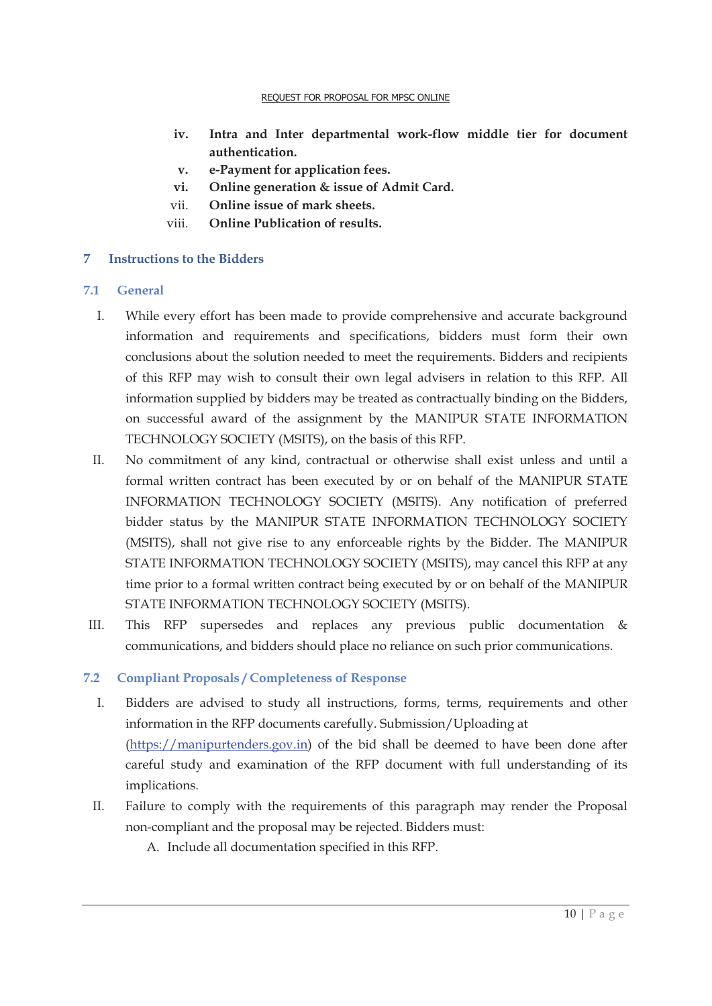- **iv. Intra and Inter departmental work-flow middle tier for document authentication.**
- **v. e-Payment for application fees.**
- **vi. Online generation & issue of Admit Card.**
- vii. **Online issue of mark sheets.**
- viii. **Online Publication of results.**

#### **7 Instructions to the Bidders**

#### **7.1 General**

- I. While every effort has been made to provide comprehensive and accurate background information and requirements and specifications, bidders must form their own conclusions about the solution needed to meet the requirements. Bidders and recipients of this RFP may wish to consult their own legal advisers in relation to this RFP. All information supplied by bidders may be treated as contractually binding on the Bidders, on successful award of the assignment by the MANIPUR STATE INFORMATION TECHNOLOGY SOCIETY (MSITS), on the basis of this RFP.
- II. No commitment of any kind, contractual or otherwise shall exist unless and until a formal written contract has been executed by or on behalf of the MANIPUR STATE INFORMATION TECHNOLOGY SOCIETY (MSITS). Any notification of preferred bidder status by the MANIPUR STATE INFORMATION TECHNOLOGY SOCIETY (MSITS), shall not give rise to any enforceable rights by the Bidder. The MANIPUR STATE INFORMATION TECHNOLOGY SOCIETY (MSITS), may cancel this RFP at any time prior to a formal written contract being executed by or on behalf of the MANIPUR STATE INFORMATION TECHNOLOGY SOCIETY (MSITS).
- III. This RFP supersedes and replaces any previous public documentation & communications, and bidders should place no reliance on such prior communications.

#### **7.2 Compliant Proposals / Completeness of Response**

- I. Bidders are advised to study all instructions, forms, terms, requirements and other information in the RFP documents carefully. Submission/Uploading at (https://manipurtenders.gov.in) of the bid shall be deemed to have been done after careful study and examination of the RFP document with full understanding of its implications.
- II. Failure to comply with the requirements of this paragraph may render the Proposal non-compliant and the proposal may be rejected. Bidders must:
	- A. Include all documentation specified in this RFP.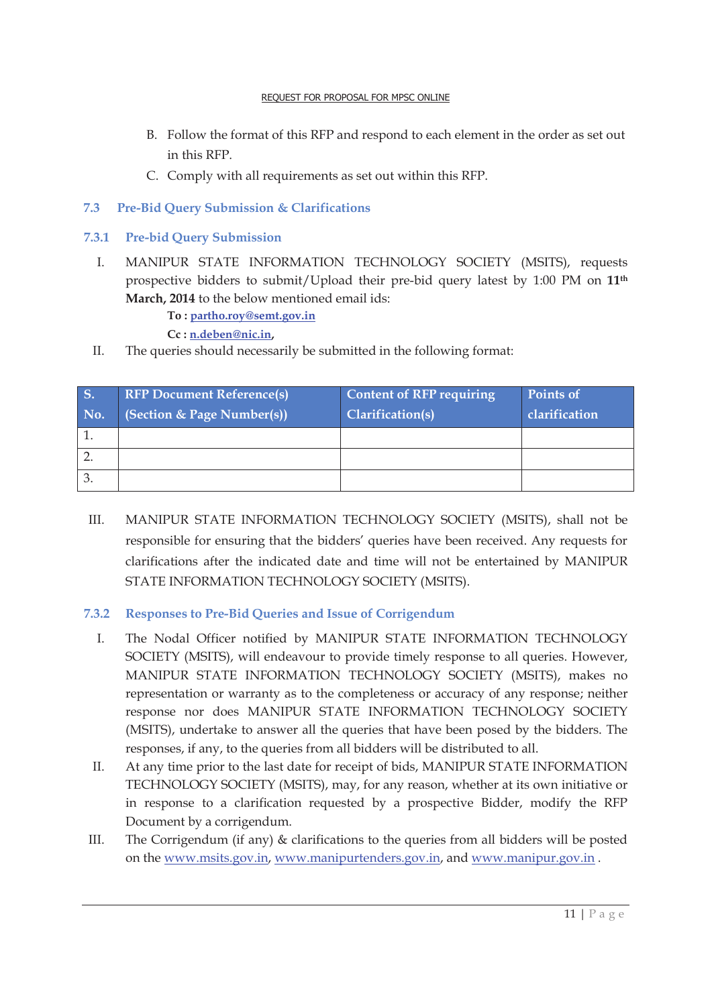- B. Follow the format of this RFP and respond to each element in the order as set out in this RFP.
- C. Comply with all requirements as set out within this RFP.

# **7.3 Pre-Bid Query Submission & Clarifications**

- **7.3.1 Pre-bid Query Submission** 
	- I. MANIPUR STATE INFORMATION TECHNOLOGY SOCIETY (MSITS), requests prospective bidders to submit/Upload their pre-bid query latest by 1:00 PM on **11th March, 2014** to the below mentioned email ids:

**To : partho.roy@semt.gov.in**

**Cc : n.deben@nic.in,**

II. The queries should necessarily be submitted in the following format:

| <b>S.</b><br>No. | <b>RFP Document Reference(s)</b><br>(Section & Page Number(s)) | <b>Content of RFP requiring</b><br>Clarification(s) | <b>Points of</b><br>clarification |
|------------------|----------------------------------------------------------------|-----------------------------------------------------|-----------------------------------|
|                  |                                                                |                                                     |                                   |
|                  |                                                                |                                                     |                                   |
|                  |                                                                |                                                     |                                   |

III. MANIPUR STATE INFORMATION TECHNOLOGY SOCIETY (MSITS), shall not be responsible for ensuring that the bidders' queries have been received. Any requests for clarifications after the indicated date and time will not be entertained by MANIPUR STATE INFORMATION TECHNOLOGY SOCIETY (MSITS).

# **7.3.2 Responses to Pre-Bid Queries and Issue of Corrigendum**

- I. The Nodal Officer notified by MANIPUR STATE INFORMATION TECHNOLOGY SOCIETY (MSITS), will endeavour to provide timely response to all queries. However, MANIPUR STATE INFORMATION TECHNOLOGY SOCIETY (MSITS), makes no representation or warranty as to the completeness or accuracy of any response; neither response nor does MANIPUR STATE INFORMATION TECHNOLOGY SOCIETY (MSITS), undertake to answer all the queries that have been posed by the bidders. The responses, if any, to the queries from all bidders will be distributed to all.
- II. At any time prior to the last date for receipt of bids, MANIPUR STATE INFORMATION TECHNOLOGY SOCIETY (MSITS), may, for any reason, whether at its own initiative or in response to a clarification requested by a prospective Bidder, modify the RFP Document by a corrigendum.
- III. The Corrigendum (if any) & clarifications to the queries from all bidders will be posted on the www.msits.gov.in, www.manipurtenders.gov.in, and www.manipur.gov.in .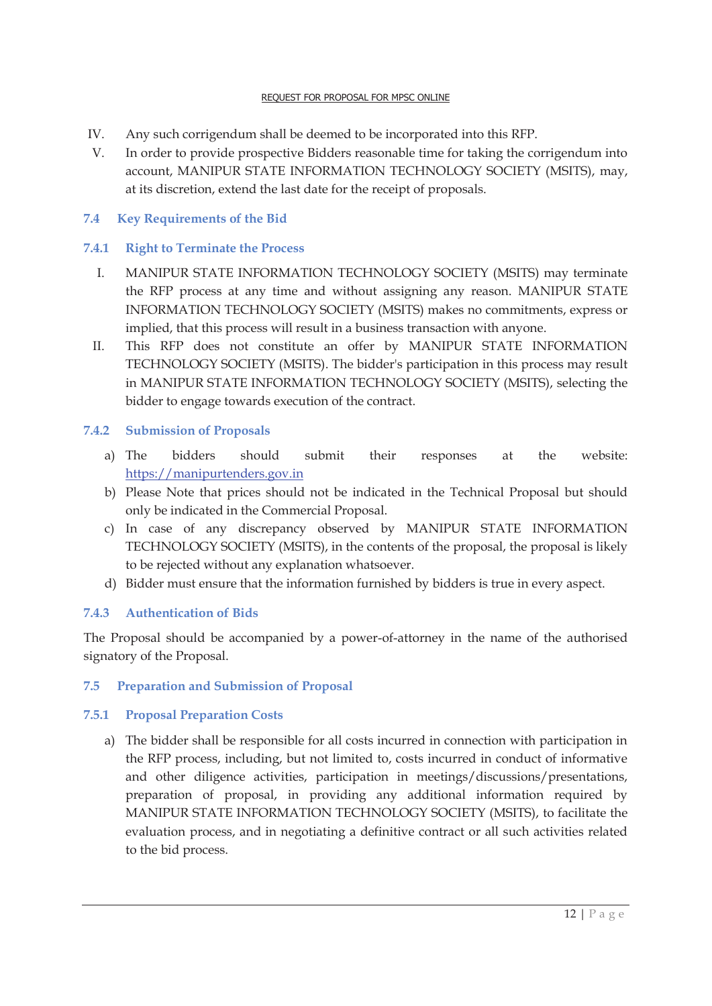- IV. Any such corrigendum shall be deemed to be incorporated into this RFP.
- V. In order to provide prospective Bidders reasonable time for taking the corrigendum into account, MANIPUR STATE INFORMATION TECHNOLOGY SOCIETY (MSITS), may, at its discretion, extend the last date for the receipt of proposals.

# **7.4 Key Requirements of the Bid**

# **7.4.1 Right to Terminate the Process**

- I. MANIPUR STATE INFORMATION TECHNOLOGY SOCIETY (MSITS) may terminate the RFP process at any time and without assigning any reason. MANIPUR STATE INFORMATION TECHNOLOGY SOCIETY (MSITS) makes no commitments, express or implied, that this process will result in a business transaction with anyone.
- II. This RFP does not constitute an offer by MANIPUR STATE INFORMATION TECHNOLOGY SOCIETY (MSITS). The bidder's participation in this process may result in MANIPUR STATE INFORMATION TECHNOLOGY SOCIETY (MSITS), selecting the bidder to engage towards execution of the contract.

#### **7.4.2 Submission of Proposals**

- a) The bidders should submit their responses at the website: https://manipurtenders.gov.in
- b) Please Note that prices should not be indicated in the Technical Proposal but should only be indicated in the Commercial Proposal.
- c) In case of any discrepancy observed by MANIPUR STATE INFORMATION TECHNOLOGY SOCIETY (MSITS), in the contents of the proposal, the proposal is likely to be rejected without any explanation whatsoever.
- d) Bidder must ensure that the information furnished by bidders is true in every aspect.

#### **7.4.3 Authentication of Bids**

The Proposal should be accompanied by a power-of-attorney in the name of the authorised signatory of the Proposal.

#### **7.5 Preparation and Submission of Proposal**

#### **7.5.1 Proposal Preparation Costs**

a) The bidder shall be responsible for all costs incurred in connection with participation in the RFP process, including, but not limited to, costs incurred in conduct of informative and other diligence activities, participation in meetings/discussions/presentations, preparation of proposal, in providing any additional information required by MANIPUR STATE INFORMATION TECHNOLOGY SOCIETY (MSITS), to facilitate the evaluation process, and in negotiating a definitive contract or all such activities related to the bid process.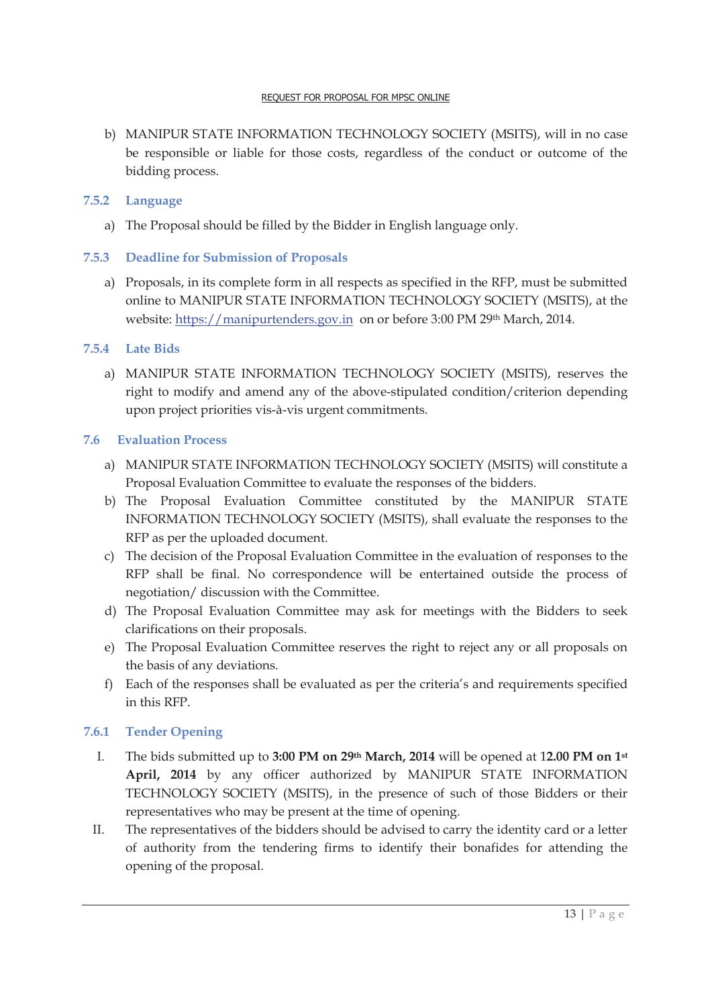b) MANIPUR STATE INFORMATION TECHNOLOGY SOCIETY (MSITS), will in no case be responsible or liable for those costs, regardless of the conduct or outcome of the bidding process.

#### **7.5.2 Language**

a) The Proposal should be filled by the Bidder in English language only.

#### **7.5.3 Deadline for Submission of Proposals**

a) Proposals, in its complete form in all respects as specified in the RFP, must be submitted online to MANIPUR STATE INFORMATION TECHNOLOGY SOCIETY (MSITS), at the website: https://manipurtenders.gov.in on or before 3:00 PM 29th March, 2014.

#### **7.5.4 Late Bids**

a) MANIPUR STATE INFORMATION TECHNOLOGY SOCIETY (MSITS), reserves the right to modify and amend any of the above-stipulated condition/criterion depending upon project priorities vis-à-vis urgent commitments.

#### **7.6 Evaluation Process**

- a) MANIPUR STATE INFORMATION TECHNOLOGY SOCIETY (MSITS) will constitute a Proposal Evaluation Committee to evaluate the responses of the bidders.
- b) The Proposal Evaluation Committee constituted by the MANIPUR STATE INFORMATION TECHNOLOGY SOCIETY (MSITS), shall evaluate the responses to the RFP as per the uploaded document.
- c) The decision of the Proposal Evaluation Committee in the evaluation of responses to the RFP shall be final. No correspondence will be entertained outside the process of negotiation/ discussion with the Committee.
- d) The Proposal Evaluation Committee may ask for meetings with the Bidders to seek clarifications on their proposals.
- e) The Proposal Evaluation Committee reserves the right to reject any or all proposals on the basis of any deviations.
- f) Each of the responses shall be evaluated as per the criteria's and requirements specified in this RFP.

#### **7.6.1 Tender Opening**

- I. The bids submitted up to **3:00 PM on 29th March, 2014** will be opened at 1**2.00 PM on 1st April, 2014** by any officer authorized by MANIPUR STATE INFORMATION TECHNOLOGY SOCIETY (MSITS), in the presence of such of those Bidders or their representatives who may be present at the time of opening.
- II. The representatives of the bidders should be advised to carry the identity card or a letter of authority from the tendering firms to identify their bonafides for attending the opening of the proposal.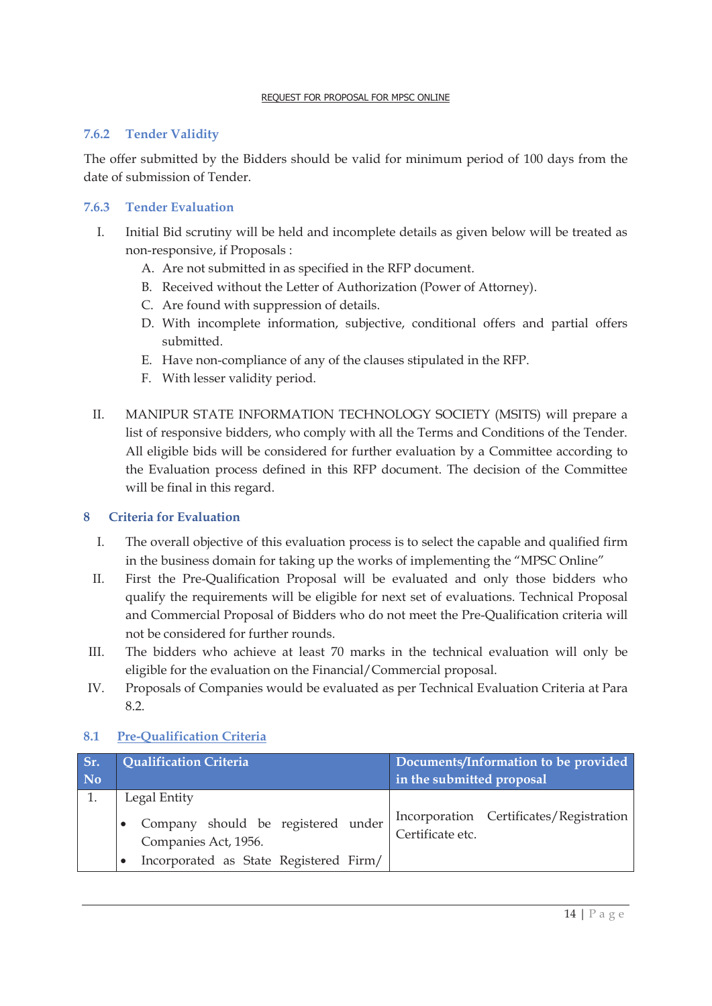#### **7.6.2 Tender Validity**

The offer submitted by the Bidders should be valid for minimum period of 100 days from the date of submission of Tender.

#### **7.6.3 Tender Evaluation**

- I. Initial Bid scrutiny will be held and incomplete details as given below will be treated as non-responsive, if Proposals :
	- A. Are not submitted in as specified in the RFP document.
	- B. Received without the Letter of Authorization (Power of Attorney).
	- C. Are found with suppression of details.
	- D. With incomplete information, subjective, conditional offers and partial offers submitted.
	- E. Have non-compliance of any of the clauses stipulated in the RFP.
	- F. With lesser validity period.
- II. MANIPUR STATE INFORMATION TECHNOLOGY SOCIETY (MSITS) will prepare a list of responsive bidders, who comply with all the Terms and Conditions of the Tender. All eligible bids will be considered for further evaluation by a Committee according to the Evaluation process defined in this RFP document. The decision of the Committee will be final in this regard.

#### **8 Criteria for Evaluation**

- I. The overall objective of this evaluation process is to select the capable and qualified firm in the business domain for taking up the works of implementing the "MPSC Online"
- II. First the Pre-Qualification Proposal will be evaluated and only those bidders who qualify the requirements will be eligible for next set of evaluations. Technical Proposal and Commercial Proposal of Bidders who do not meet the Pre-Qualification criteria will not be considered for further rounds.
- III. The bidders who achieve at least 70 marks in the technical evaluation will only be eligible for the evaluation on the Financial/Commercial proposal.
- IV. Proposals of Companies would be evaluated as per Technical Evaluation Criteria at Para 8.2.

#### **8.1 Pre-Qualification Criteria**

| Sr.<br>No | <b>Qualification Criteria</b>                                                                                        | Documents/Information to be provided<br>in the submitted proposal |  |
|-----------|----------------------------------------------------------------------------------------------------------------------|-------------------------------------------------------------------|--|
|           | Legal Entity<br>Company should be registered under<br>Companies Act, 1956.<br>Incorporated as State Registered Firm/ | Incorporation Certificates/Registration<br>Certificate etc.       |  |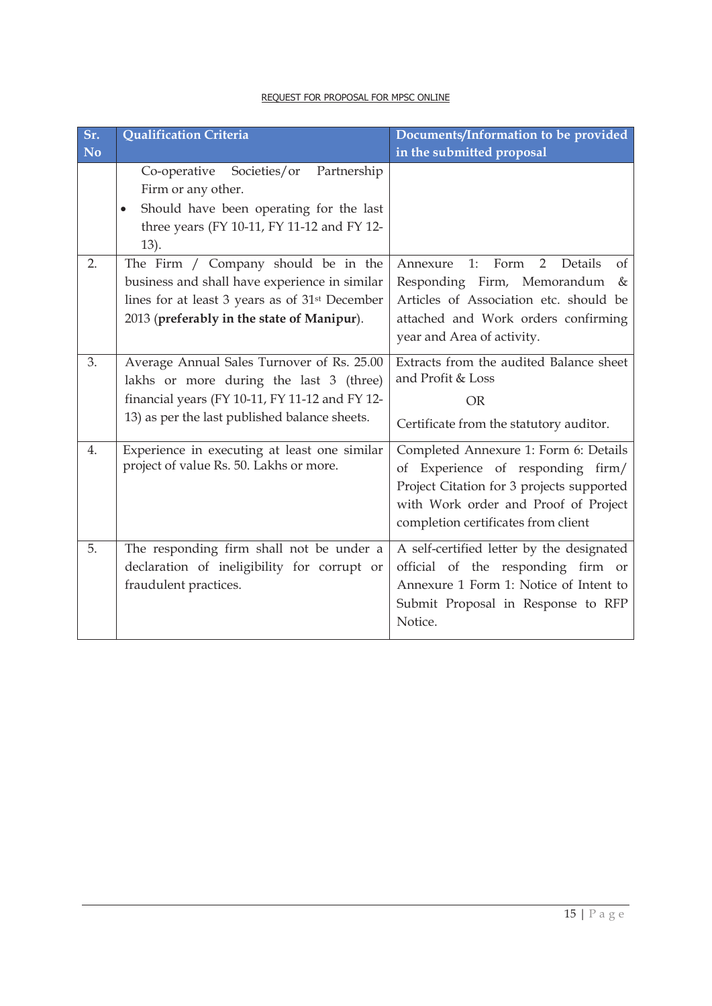| Sr.<br><b>No</b> | <b>Qualification Criteria</b>                                                                                                                                                                    | Documents/Information to be provided<br>in the submitted proposal                                                                                                                                          |
|------------------|--------------------------------------------------------------------------------------------------------------------------------------------------------------------------------------------------|------------------------------------------------------------------------------------------------------------------------------------------------------------------------------------------------------------|
|                  | Co-operative<br>Societies/or<br>Partnership<br>Firm or any other.<br>Should have been operating for the last<br>$\bullet$<br>three years (FY 10-11, FY 11-12 and FY 12-<br>13).                  |                                                                                                                                                                                                            |
| 2.               | The Firm / Company should be in the<br>business and shall have experience in similar<br>lines for at least 3 years as of 31 <sup>st</sup> December<br>2013 (preferably in the state of Manipur). | Details<br>1:<br>Form<br>2<br>Annexure<br>$\sigma$ f<br>Responding Firm, Memorandum<br>$\&$<br>Articles of Association etc. should be<br>attached and Work orders confirming<br>year and Area of activity. |
| 3.               | Average Annual Sales Turnover of Rs. 25.00<br>lakhs or more during the last 3 (three)<br>financial years (FY 10-11, FY 11-12 and FY 12-<br>13) as per the last published balance sheets.         | Extracts from the audited Balance sheet<br>and Profit & Loss<br><b>OR</b><br>Certificate from the statutory auditor.                                                                                       |
| 4.               | Experience in executing at least one similar<br>project of value Rs. 50. Lakhs or more.                                                                                                          | Completed Annexure 1: Form 6: Details<br>Experience of responding firm/<br>οf<br>Project Citation for 3 projects supported<br>with Work order and Proof of Project<br>completion certificates from client  |
| 5.               | The responding firm shall not be under a<br>declaration of ineligibility for corrupt or<br>fraudulent practices.                                                                                 | A self-certified letter by the designated<br>official of the responding firm or<br>Annexure 1 Form 1: Notice of Intent to<br>Submit Proposal in Response to RFP<br>Notice.                                 |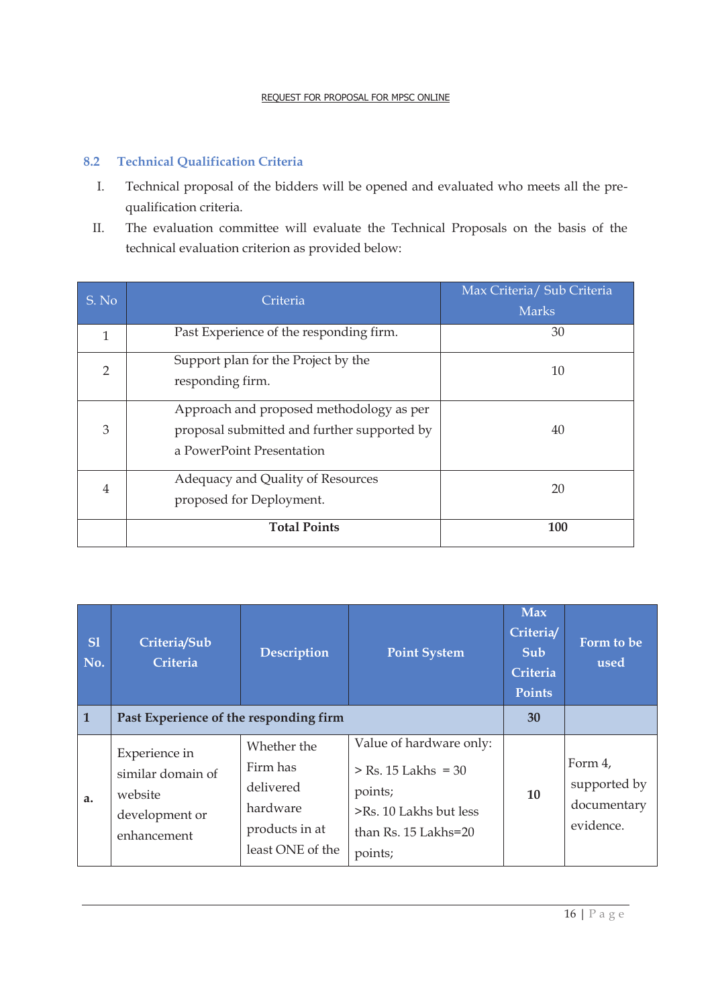# **8.2 Technical Qualification Criteria**

- I. Technical proposal of the bidders will be opened and evaluated who meets all the prequalification criteria.
- II. The evaluation committee will evaluate the Technical Proposals on the basis of the technical evaluation criterion as provided below:

| S. No          | Criteria                                                                                                             | Max Criteria/ Sub Criteria<br><b>Marks</b> |
|----------------|----------------------------------------------------------------------------------------------------------------------|--------------------------------------------|
| 1              | Past Experience of the responding firm.                                                                              | 30                                         |
| $\overline{2}$ | Support plan for the Project by the<br>responding firm.                                                              | 10                                         |
| 3              | Approach and proposed methodology as per<br>proposal submitted and further supported by<br>a PowerPoint Presentation | 40                                         |
| 4              | Adequacy and Quality of Resources<br>proposed for Deployment.                                                        | 20                                         |
|                | <b>Total Points</b>                                                                                                  | 100                                        |

| S1<br>No.      | Criteria/Sub<br>Criteria                                                       | <b>Description</b>                                                                     | <b>Point System</b>                                                                                                      | <b>Max</b><br>Criteria<br>Sub<br>Criteria<br><b>Points</b> | Form to be<br>used                                  |
|----------------|--------------------------------------------------------------------------------|----------------------------------------------------------------------------------------|--------------------------------------------------------------------------------------------------------------------------|------------------------------------------------------------|-----------------------------------------------------|
| $\overline{1}$ | Past Experience of the responding firm                                         |                                                                                        |                                                                                                                          | 30                                                         |                                                     |
| a.             | Experience in<br>similar domain of<br>website<br>development or<br>enhancement | Whether the<br>Firm has<br>delivered<br>hardware<br>products in at<br>least ONE of the | Value of hardware only:<br>$>$ Rs. 15 Lakhs = 30<br>points;<br>>Rs. 10 Lakhs but less<br>than Rs. 15 Lakhs=20<br>points; | 10                                                         | Form 4,<br>supported by<br>documentary<br>evidence. |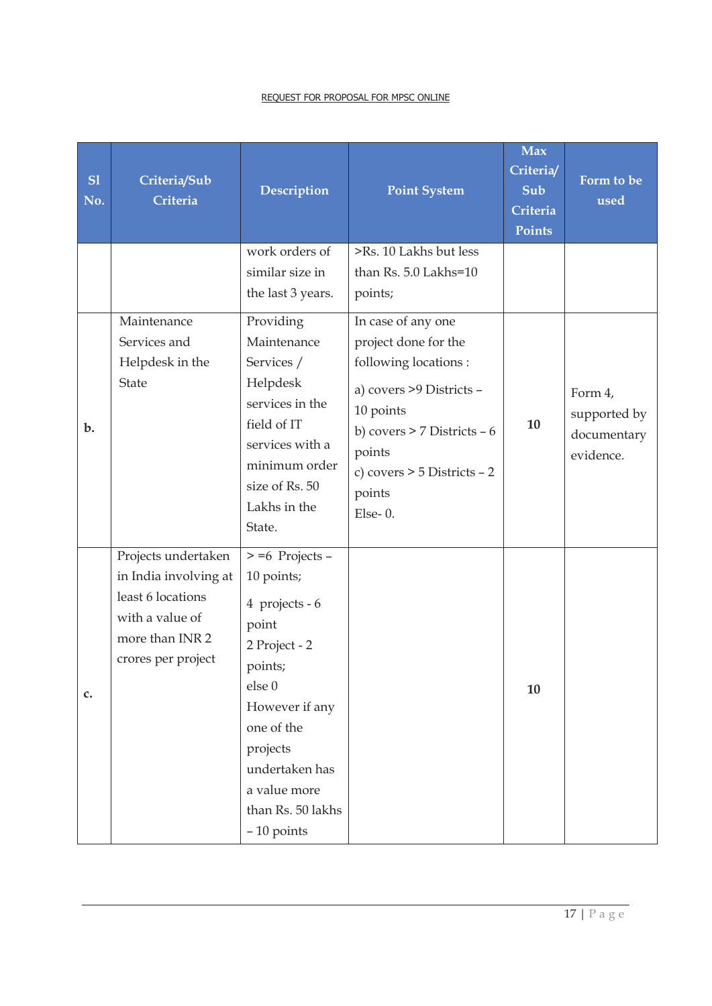| S1<br>No.      | Criteria/Sub<br>Criteria                                                                                                      | <b>Description</b>                                                                                                                                                                                                 | <b>Point System</b>                                                                                                                                                                                            | <b>Max</b><br>Criteria/<br>Sub<br>Criteria<br>Points | Form to be<br>used                                  |
|----------------|-------------------------------------------------------------------------------------------------------------------------------|--------------------------------------------------------------------------------------------------------------------------------------------------------------------------------------------------------------------|----------------------------------------------------------------------------------------------------------------------------------------------------------------------------------------------------------------|------------------------------------------------------|-----------------------------------------------------|
|                |                                                                                                                               | work orders of<br>similar size in<br>the last 3 years.                                                                                                                                                             | >Rs. 10 Lakhs but less<br>than Rs. 5.0 Lakhs=10<br>points;                                                                                                                                                     |                                                      |                                                     |
| $b$ .          | Maintenance<br>Services and<br>Helpdesk in the<br><b>State</b>                                                                | Providing<br>Maintenance<br>Services /<br>Helpdesk<br>services in the<br>field of IT<br>services with a<br>minimum order<br>size of Rs. 50<br>Lakhs in the<br>State.                                               | In case of any one<br>project done for the<br>following locations :<br>a) covers >9 Districts -<br>10 points<br>b) covers > 7 Districts - 6<br>points<br>c) covers $>$ 5 Districts $-2$<br>points<br>$Else-0.$ | 10                                                   | Form 4,<br>supported by<br>documentary<br>evidence. |
| $\mathbf{c}$ . | Projects undertaken<br>in India involving at<br>least 6 locations<br>with a value of<br>more than INR 2<br>crores per project | $> = 6$ Projects -<br>10 points;<br>4 projects - 6<br>point<br>2 Project - 2<br>points;<br>else 0<br>However if any<br>one of the<br>projects<br>undertaken has<br>a value more<br>than Rs. 50 lakhs<br>-10 points |                                                                                                                                                                                                                | 10                                                   |                                                     |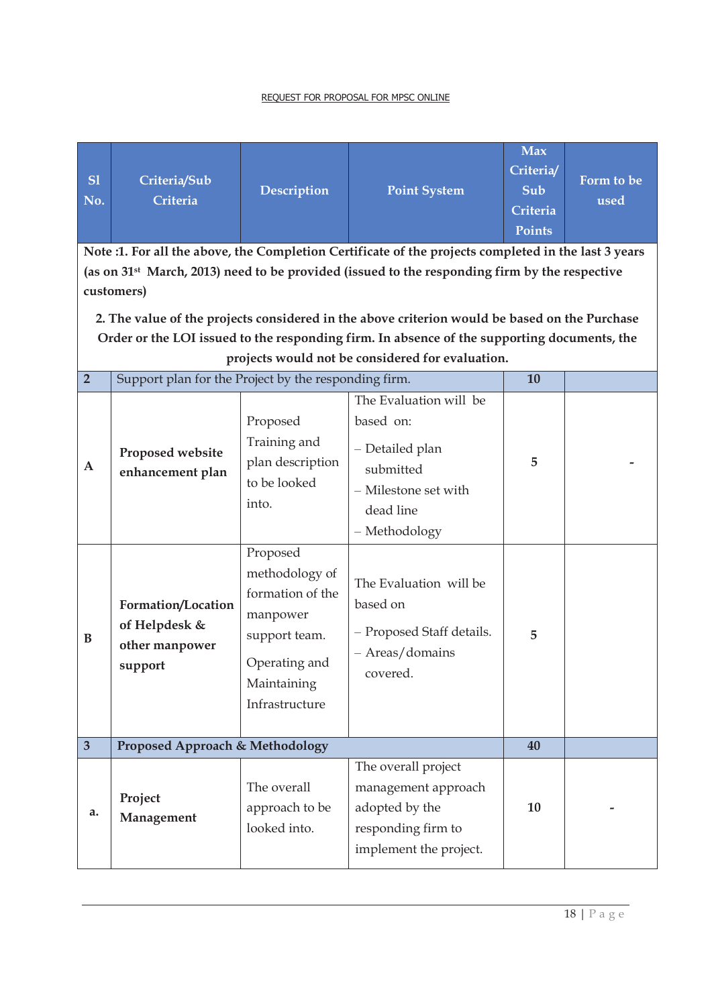| SI<br>No.               | Criteria/Sub<br>Criteria                                                                                                | Description                                                                                                       | <b>Point System</b><br>Note :1. For all the above, the Completion Certificate of the projects completed in the last 3 years                                                                  | <b>Max</b><br>Criteria/<br>Sub<br>Criteria<br><b>Points</b> | Form to be<br>used |
|-------------------------|-------------------------------------------------------------------------------------------------------------------------|-------------------------------------------------------------------------------------------------------------------|----------------------------------------------------------------------------------------------------------------------------------------------------------------------------------------------|-------------------------------------------------------------|--------------------|
|                         | (as on 31 <sup>st</sup> March, 2013) need to be provided (issued to the responding firm by the respective<br>customers) |                                                                                                                   |                                                                                                                                                                                              |                                                             |                    |
|                         |                                                                                                                         |                                                                                                                   | 2. The value of the projects considered in the above criterion would be based on the Purchase<br>Order or the LOI issued to the responding firm. In absence of the supporting documents, the |                                                             |                    |
|                         |                                                                                                                         |                                                                                                                   | projects would not be considered for evaluation.                                                                                                                                             |                                                             |                    |
| $\overline{2}$          | Support plan for the Project by the responding firm.                                                                    |                                                                                                                   |                                                                                                                                                                                              | 10                                                          |                    |
| $\mathbf{A}$            | Proposed website<br>enhancement plan                                                                                    | Proposed<br>Training and<br>plan description<br>to be looked<br>into.<br>Proposed                                 | The Evaluation will be<br>based on:<br>- Detailed plan<br>submitted<br>- Milestone set with<br>dead line<br>- Methodology                                                                    | 5                                                           |                    |
| B                       | Formation/Location<br>of Helpdesk &<br>other manpower<br>support                                                        | methodology of<br>formation of the<br>manpower<br>support team.<br>Operating and<br>Maintaining<br>Infrastructure | The Evaluation will be<br>based on<br>- Proposed Staff details.<br>- Areas/domains<br>covered.                                                                                               | 5                                                           |                    |
| $\overline{\mathbf{3}}$ | Proposed Approach & Methodology                                                                                         |                                                                                                                   |                                                                                                                                                                                              | 40                                                          |                    |
| a.                      | Project<br>Management                                                                                                   | The overall<br>approach to be<br>looked into.                                                                     | The overall project<br>management approach<br>adopted by the<br>responding firm to<br>implement the project.                                                                                 | 10                                                          |                    |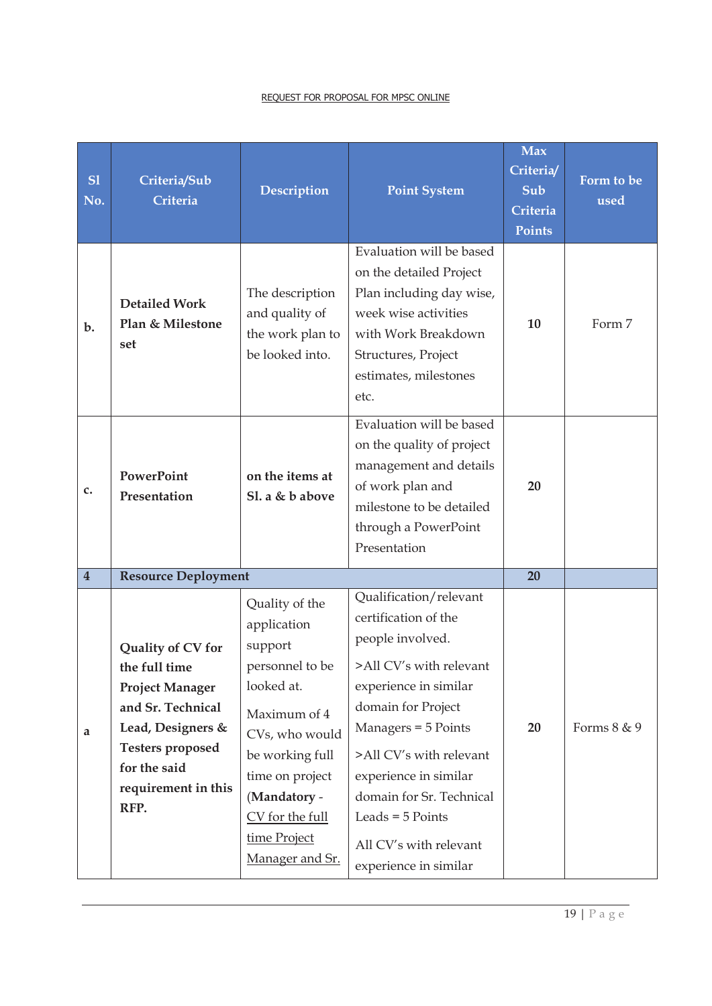| SI<br>No.               | Criteria/Sub<br>Criteria                                                                                                                                                         | Description                                                                                                                                                                                                             | <b>Point System</b>                                                                                                                                                                                                                                                                                                          | <b>Max</b><br>Criteria/<br>Sub<br>Criteria<br><b>Points</b> | Form to be<br>used |
|-------------------------|----------------------------------------------------------------------------------------------------------------------------------------------------------------------------------|-------------------------------------------------------------------------------------------------------------------------------------------------------------------------------------------------------------------------|------------------------------------------------------------------------------------------------------------------------------------------------------------------------------------------------------------------------------------------------------------------------------------------------------------------------------|-------------------------------------------------------------|--------------------|
| b.                      | <b>Detailed Work</b><br>Plan & Milestone<br>set                                                                                                                                  | The description<br>and quality of<br>the work plan to<br>be looked into.                                                                                                                                                | Evaluation will be based<br>on the detailed Project<br>Plan including day wise,<br>week wise activities<br>with Work Breakdown<br>Structures, Project<br>estimates, milestones<br>etc.                                                                                                                                       | 10                                                          | Form 7             |
| $\mathbf{c}$ .          | <b>PowerPoint</b><br>Presentation                                                                                                                                                | on the items at<br>Sl. a & b above                                                                                                                                                                                      | Evaluation will be based<br>on the quality of project<br>management and details<br>of work plan and<br>milestone to be detailed<br>through a PowerPoint<br>Presentation                                                                                                                                                      | 20                                                          |                    |
| $\overline{\mathbf{4}}$ | <b>Resource Deployment</b>                                                                                                                                                       |                                                                                                                                                                                                                         |                                                                                                                                                                                                                                                                                                                              | 20                                                          |                    |
| a                       | Quality of CV for<br>the full time<br><b>Project Manager</b><br>and Sr. Technical<br>Lead, Designers &<br><b>Testers proposed</b><br>for the said<br>requirement in this<br>RFP. | Quality of the<br>application<br>support<br>personnel to be<br>looked at.<br>Maximum of 4<br>CVs, who would<br>be working full<br>time on project<br>(Mandatory -<br>CV for the full<br>time Project<br>Manager and Sr. | Qualification/relevant<br>certification of the<br>people involved.<br>>All CV's with relevant<br>experience in similar<br>domain for Project<br>Managers = 5 Points<br>>All CV's with relevant<br>experience in similar<br>domain for Sr. Technical<br>Leads = $5$ Points<br>All CV's with relevant<br>experience in similar | 20                                                          | Forms 8 & 9        |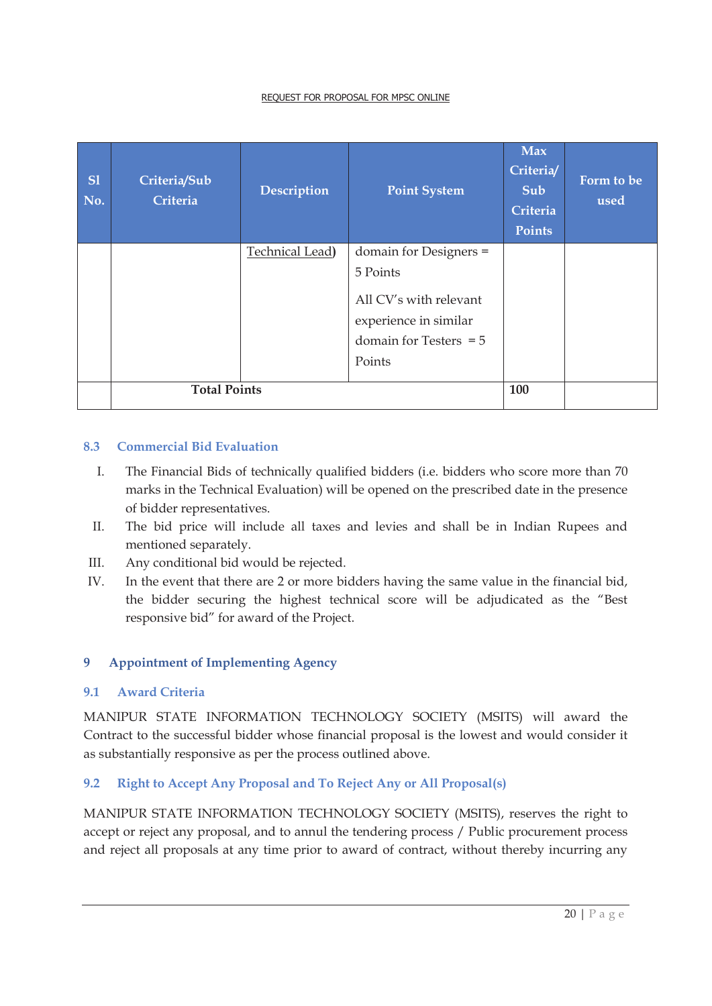| <b>S1</b><br>No. | Criteria/Sub<br>Criteria | Description            | <b>Point System</b>                                                                                                         | <b>Max</b><br>Criteria/<br>Sub<br>Criteria<br><b>Points</b> | Form to be<br>used |
|------------------|--------------------------|------------------------|-----------------------------------------------------------------------------------------------------------------------------|-------------------------------------------------------------|--------------------|
|                  |                          | <b>Technical Lead)</b> | domain for Designers =<br>5 Points<br>All CV's with relevant<br>experience in similar<br>domain for Testers $= 5$<br>Points |                                                             |                    |
|                  | <b>Total Points</b>      |                        | 100                                                                                                                         |                                                             |                    |

#### **8.3 Commercial Bid Evaluation**

- I. The Financial Bids of technically qualified bidders (i.e. bidders who score more than 70 marks in the Technical Evaluation) will be opened on the prescribed date in the presence of bidder representatives.
- II. The bid price will include all taxes and levies and shall be in Indian Rupees and mentioned separately.
- III. Any conditional bid would be rejected.
- IV. In the event that there are 2 or more bidders having the same value in the financial bid, the bidder securing the highest technical score will be adjudicated as the "Best responsive bid" for award of the Project.

#### **9 Appointment of Implementing Agency**

#### **9.1 Award Criteria**

MANIPUR STATE INFORMATION TECHNOLOGY SOCIETY (MSITS) will award the Contract to the successful bidder whose financial proposal is the lowest and would consider it as substantially responsive as per the process outlined above.

# **9.2 Right to Accept Any Proposal and To Reject Any or All Proposal(s)**

MANIPUR STATE INFORMATION TECHNOLOGY SOCIETY (MSITS), reserves the right to accept or reject any proposal, and to annul the tendering process / Public procurement process and reject all proposals at any time prior to award of contract, without thereby incurring any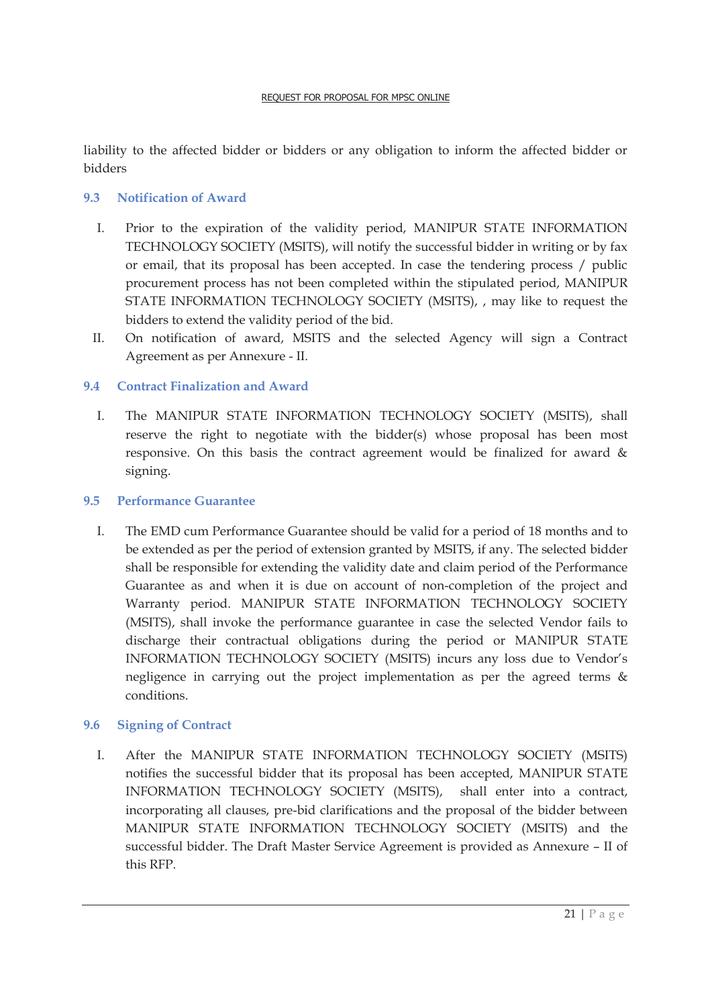liability to the affected bidder or bidders or any obligation to inform the affected bidder or bidders

# **9.3 Notification of Award**

- I. Prior to the expiration of the validity period, MANIPUR STATE INFORMATION TECHNOLOGY SOCIETY (MSITS), will notify the successful bidder in writing or by fax or email, that its proposal has been accepted. In case the tendering process / public procurement process has not been completed within the stipulated period, MANIPUR STATE INFORMATION TECHNOLOGY SOCIETY (MSITS), , may like to request the bidders to extend the validity period of the bid.
- II. On notification of award, MSITS and the selected Agency will sign a Contract Agreement as per Annexure - II.

# **9.4 Contract Finalization and Award**

I. The MANIPUR STATE INFORMATION TECHNOLOGY SOCIETY (MSITS), shall reserve the right to negotiate with the bidder(s) whose proposal has been most responsive. On this basis the contract agreement would be finalized for award & signing.

#### **9.5 Performance Guarantee**

I. The EMD cum Performance Guarantee should be valid for a period of 18 months and to be extended as per the period of extension granted by MSITS, if any. The selected bidder shall be responsible for extending the validity date and claim period of the Performance Guarantee as and when it is due on account of non-completion of the project and Warranty period. MANIPUR STATE INFORMATION TECHNOLOGY SOCIETY (MSITS), shall invoke the performance guarantee in case the selected Vendor fails to discharge their contractual obligations during the period or MANIPUR STATE INFORMATION TECHNOLOGY SOCIETY (MSITS) incurs any loss due to Vendor's negligence in carrying out the project implementation as per the agreed terms & conditions.

#### **9.6 Signing of Contract**

I. After the MANIPUR STATE INFORMATION TECHNOLOGY SOCIETY (MSITS) notifies the successful bidder that its proposal has been accepted, MANIPUR STATE INFORMATION TECHNOLOGY SOCIETY (MSITS), shall enter into a contract, incorporating all clauses, pre-bid clarifications and the proposal of the bidder between MANIPUR STATE INFORMATION TECHNOLOGY SOCIETY (MSITS) and the successful bidder. The Draft Master Service Agreement is provided as Annexure – II of this RFP.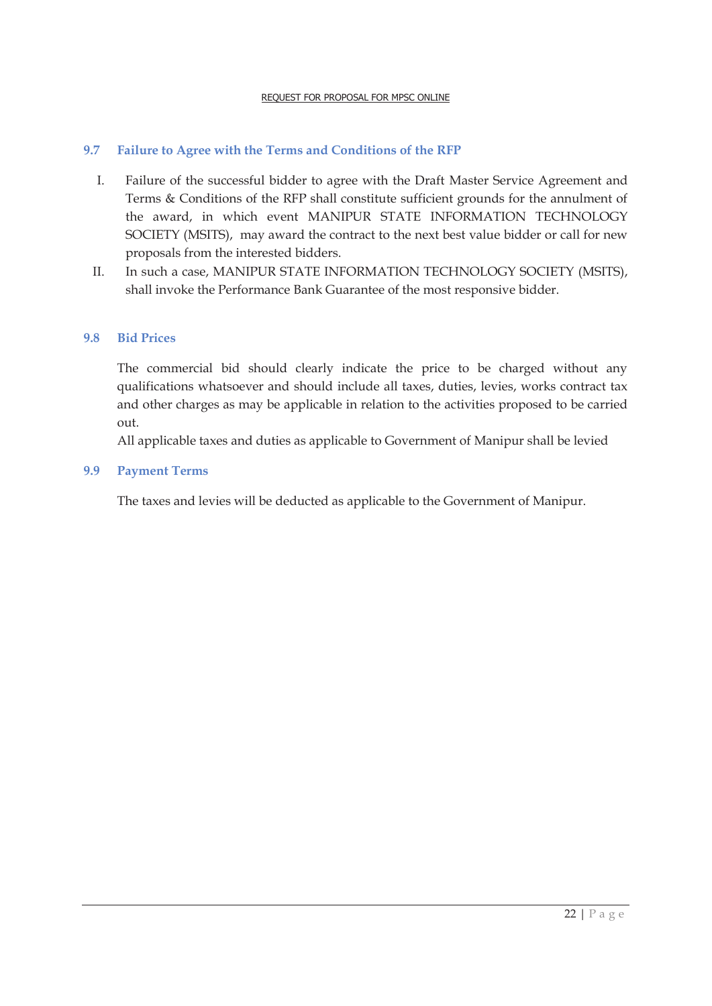# **9.7 Failure to Agree with the Terms and Conditions of the RFP**

- I. Failure of the successful bidder to agree with the Draft Master Service Agreement and Terms & Conditions of the RFP shall constitute sufficient grounds for the annulment of the award, in which event MANIPUR STATE INFORMATION TECHNOLOGY SOCIETY (MSITS), may award the contract to the next best value bidder or call for new proposals from the interested bidders.
- II. In such a case, MANIPUR STATE INFORMATION TECHNOLOGY SOCIETY (MSITS), shall invoke the Performance Bank Guarantee of the most responsive bidder.

#### **9.8 Bid Prices**

The commercial bid should clearly indicate the price to be charged without any qualifications whatsoever and should include all taxes, duties, levies, works contract tax and other charges as may be applicable in relation to the activities proposed to be carried out.

All applicable taxes and duties as applicable to Government of Manipur shall be levied

#### **9.9 Payment Terms**

The taxes and levies will be deducted as applicable to the Government of Manipur.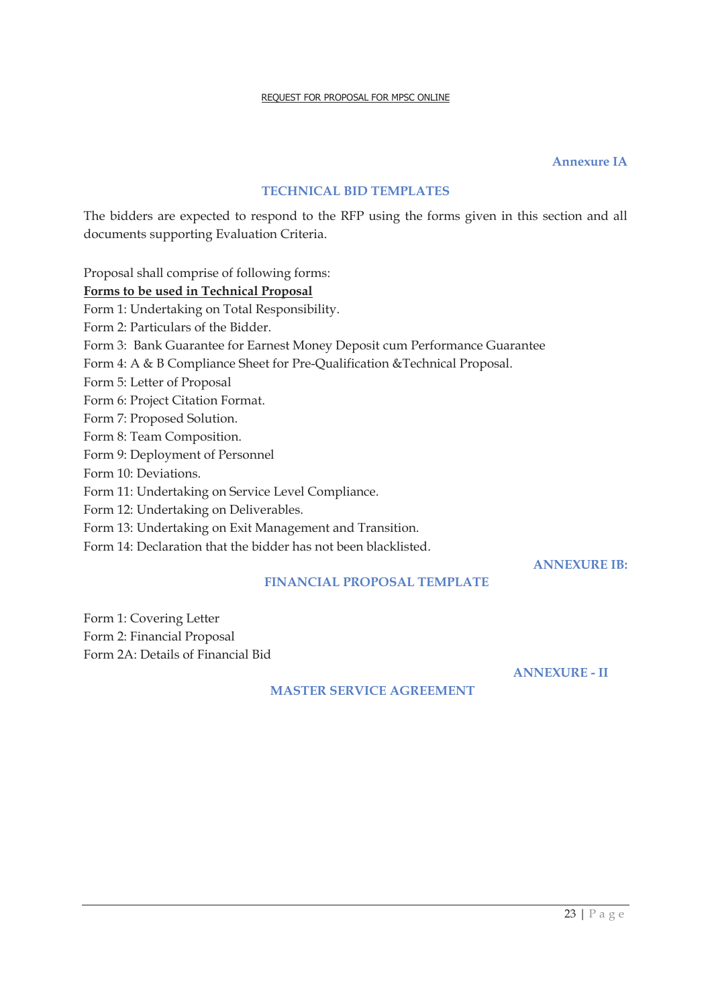#### **Annexure IA**

#### **TECHNICAL BID TEMPLATES**

The bidders are expected to respond to the RFP using the forms given in this section and all documents supporting Evaluation Criteria.

Proposal shall comprise of following forms: **Forms to be used in Technical Proposal**  Form 1: Undertaking on Total Responsibility. Form 2: Particulars of the Bidder. Form 3: Bank Guarantee for Earnest Money Deposit cum Performance Guarantee Form 4: A & B Compliance Sheet for Pre-Qualification &Technical Proposal. Form 5: Letter of Proposal Form 6: Project Citation Format. Form 7: Proposed Solution. Form 8: Team Composition. Form 9: Deployment of Personnel Form 10: Deviations. Form 11: Undertaking on Service Level Compliance. Form 12: Undertaking on Deliverables. Form 13: Undertaking on Exit Management and Transition. Form 14: Declaration that the bidder has not been blacklisted.

#### **FINANCIAL PROPOSAL TEMPLATE**

Form 1: Covering Letter Form 2: Financial Proposal Form 2A: Details of Financial Bid

**ANNEXURE - II** 

**ANNEXURE IB:** 

#### **MASTER SERVICE AGREEMENT**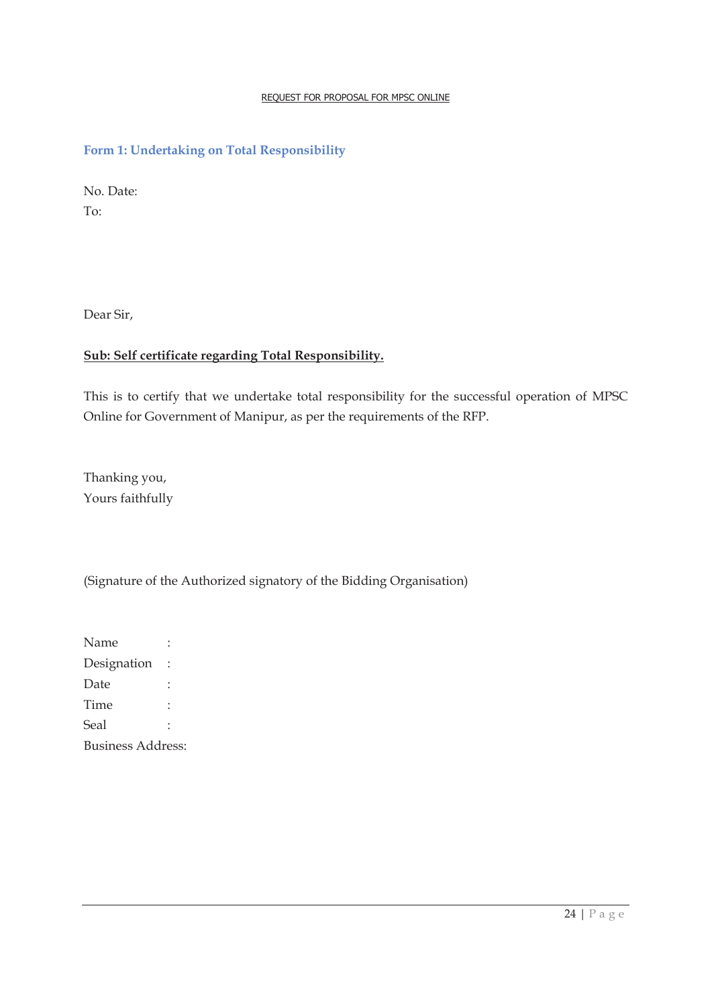#### **Form 1: Undertaking on Total Responsibility**

No. Date: To:

Dear Sir,

# **Sub: Self certificate regarding Total Responsibility.**

This is to certify that we undertake total responsibility for the successful operation of MPSC Online for Government of Manipur, as per the requirements of the RFP.

Thanking you, Yours faithfully

(Signature of the Authorized signatory of the Bidding Organisation)

Name : Designation : Date : Time : Seal : Business Address: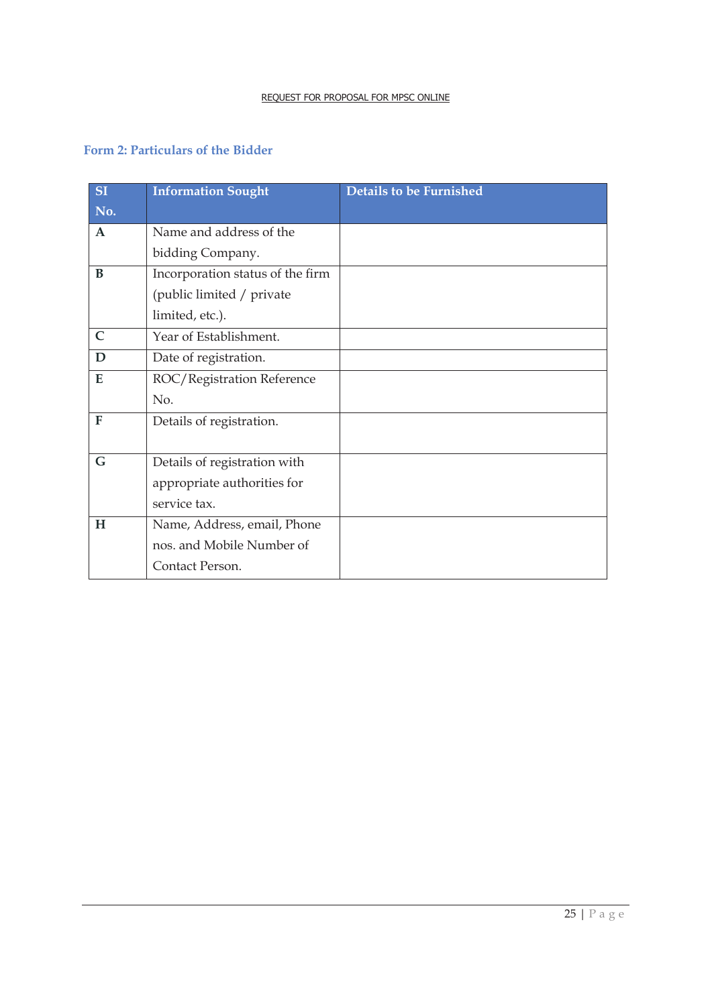# **Form 2: Particulars of the Bidder**

| <b>SI</b>    | <b>Information Sought</b>        | <b>Details to be Furnished</b> |
|--------------|----------------------------------|--------------------------------|
| No.          |                                  |                                |
| $\mathbf{A}$ | Name and address of the          |                                |
|              | bidding Company.                 |                                |
| B            | Incorporation status of the firm |                                |
|              | (public limited / private        |                                |
|              | limited, etc.).                  |                                |
| $\mathsf{C}$ | Year of Establishment.           |                                |
| D            | Date of registration.            |                                |
| E            | ROC/Registration Reference       |                                |
|              | No.                              |                                |
| F            | Details of registration.         |                                |
|              |                                  |                                |
| G            | Details of registration with     |                                |
|              | appropriate authorities for      |                                |
|              | service tax.                     |                                |
| H            | Name, Address, email, Phone      |                                |
|              | nos. and Mobile Number of        |                                |
|              | Contact Person.                  |                                |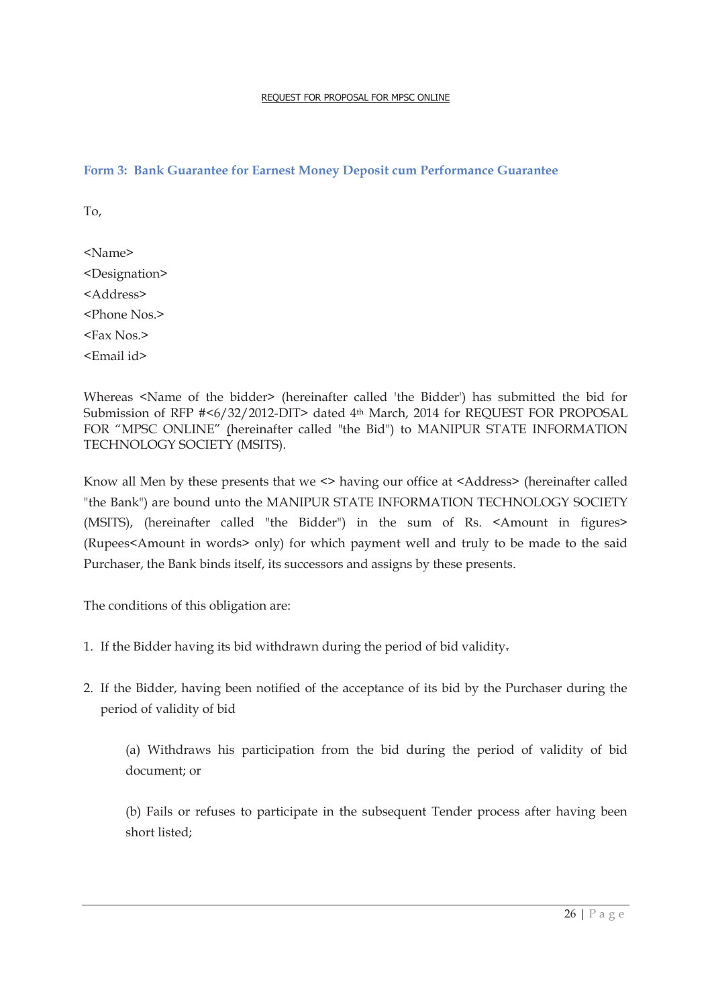#### **Form 3: Bank Guarantee for Earnest Money Deposit cum Performance Guarantee**

To,

<Name> <Designation> <Address> <Phone Nos.> <Fax Nos.> <Email id>

Whereas <Name of the bidder> (hereinafter called 'the Bidder') has submitted the bid for Submission of RFP #<6/32/2012-DIT> dated 4<sup>th</sup> March, 2014 for REQUEST FOR PROPOSAL FOR "MPSC ONLINE" (hereinafter called "the Bid") to MANIPUR STATE INFORMATION TECHNOLOGY SOCIETY (MSITS).

Know all Men by these presents that we <> having our office at <Address> (hereinafter called "the Bank") are bound unto the MANIPUR STATE INFORMATION TECHNOLOGY SOCIETY (MSITS), (hereinafter called "the Bidder") in the sum of Rs. <Amount in figures> (Rupees<Amount in words> only) for which payment well and truly to be made to the said Purchaser, the Bank binds itself, its successors and assigns by these presents.

The conditions of this obligation are:

- 1. If the Bidder having its bid withdrawn during the period of bid validity.
- 2. If the Bidder, having been notified of the acceptance of its bid by the Purchaser during the period of validity of bid

(a) Withdraws his participation from the bid during the period of validity of bid document; or

(b) Fails or refuses to participate in the subsequent Tender process after having been short listed;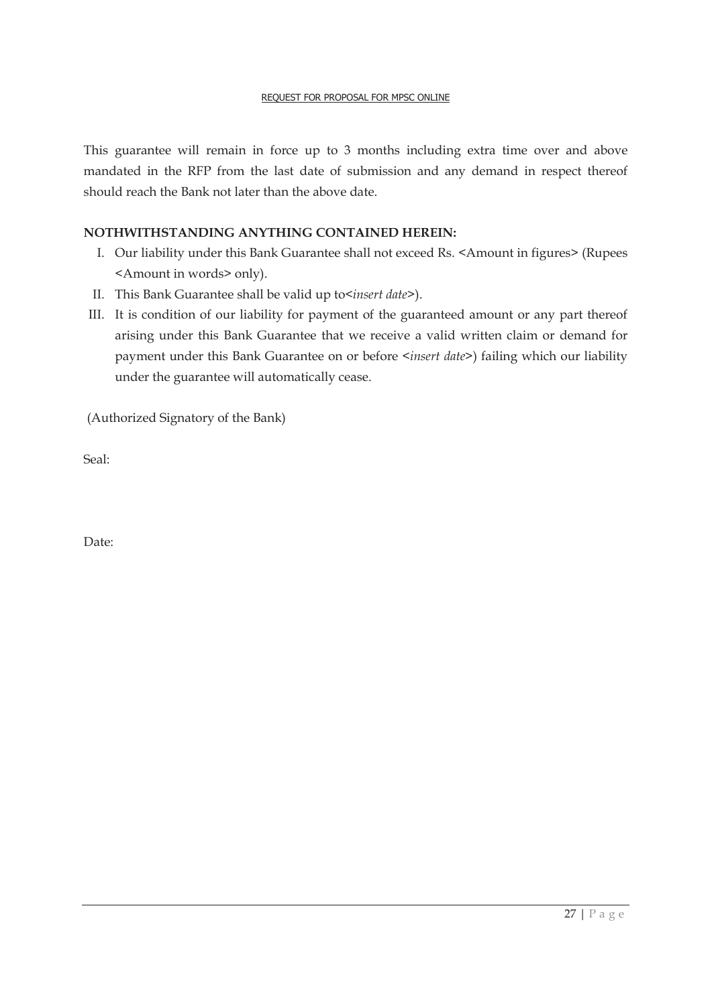This guarantee will remain in force up to 3 months including extra time over and above mandated in the RFP from the last date of submission and any demand in respect thereof should reach the Bank not later than the above date.

#### **NOTHWITHSTANDING ANYTHING CONTAINED HEREIN:**

- I. Our liability under this Bank Guarantee shall not exceed Rs. <Amount in figures> (Rupees <Amount in words> only).
- II. This Bank Guarantee shall be valid up to*<insert date>*).
- III. It is condition of our liability for payment of the guaranteed amount or any part thereof arising under this Bank Guarantee that we receive a valid written claim or demand for payment under this Bank Guarantee on or before *<insert date>*) failing which our liability under the guarantee will automatically cease.

(Authorized Signatory of the Bank)

Seal:

Date: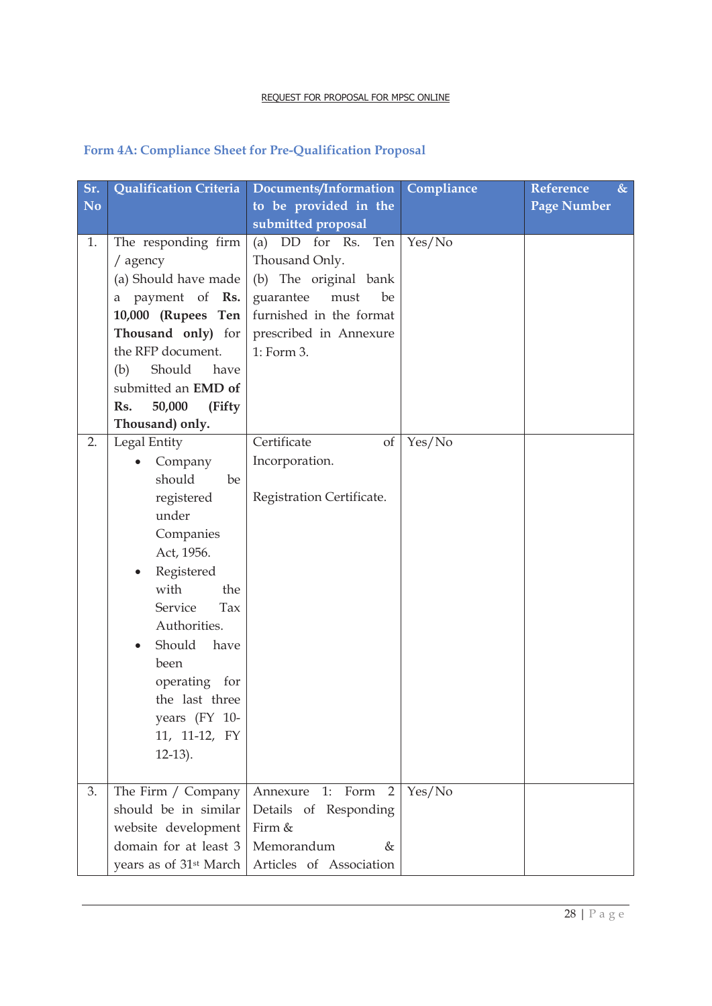# **Form 4A: Compliance Sheet for Pre-Qualification Proposal**

| Sr.            | <b>Qualification Criteria</b>      | Documents/Information     | Compliance | $\&$<br><b>Reference</b> |
|----------------|------------------------------------|---------------------------|------------|--------------------------|
| N <sub>o</sub> |                                    | to be provided in the     |            | <b>Page Number</b>       |
|                |                                    | submitted proposal        |            |                          |
| 1.             | The responding firm                | (a) DD for Rs. Ten        | Yes/No     |                          |
|                | / agency                           | Thousand Only.            |            |                          |
|                | (a) Should have made               | (b) The original bank     |            |                          |
|                | payment of Rs.<br>a                | guarantee<br>must<br>be   |            |                          |
|                | 10,000 (Rupees Ten                 | furnished in the format   |            |                          |
|                | Thousand only) for                 | prescribed in Annexure    |            |                          |
|                | the RFP document.                  | 1: Form 3.                |            |                          |
|                | Should<br>(b)<br>have              |                           |            |                          |
|                | submitted an EMD of                |                           |            |                          |
|                | 50,000<br>(Fifty<br>Rs.            |                           |            |                          |
|                | Thousand) only.                    |                           |            |                          |
| 2.             | Legal Entity                       | Certificate<br>of         | Yes/No     |                          |
|                | Company                            | Incorporation.            |            |                          |
|                | should<br>be                       |                           |            |                          |
|                | registered                         | Registration Certificate. |            |                          |
|                | under                              |                           |            |                          |
|                | Companies                          |                           |            |                          |
|                | Act, 1956.                         |                           |            |                          |
|                | Registered                         |                           |            |                          |
|                | with<br>the                        |                           |            |                          |
|                | Service<br>Tax                     |                           |            |                          |
|                | Authorities.                       |                           |            |                          |
|                | Should<br>have                     |                           |            |                          |
|                | been                               |                           |            |                          |
|                | operating for                      |                           |            |                          |
|                | the last three                     |                           |            |                          |
|                | years (FY 10-                      |                           |            |                          |
|                | 11, 11-12, FY                      |                           |            |                          |
|                | $12-13$ ).                         |                           |            |                          |
|                |                                    |                           |            |                          |
| 3.             | The Firm / Company                 | Annexure<br>1: Form $2$   | Yes/No     |                          |
|                | should be in similar               | Details of Responding     |            |                          |
|                | website development                | Firm &                    |            |                          |
|                | domain for at least 3              | Memorandum<br>&           |            |                          |
|                | years as of 31 <sup>st</sup> March | Articles of Association   |            |                          |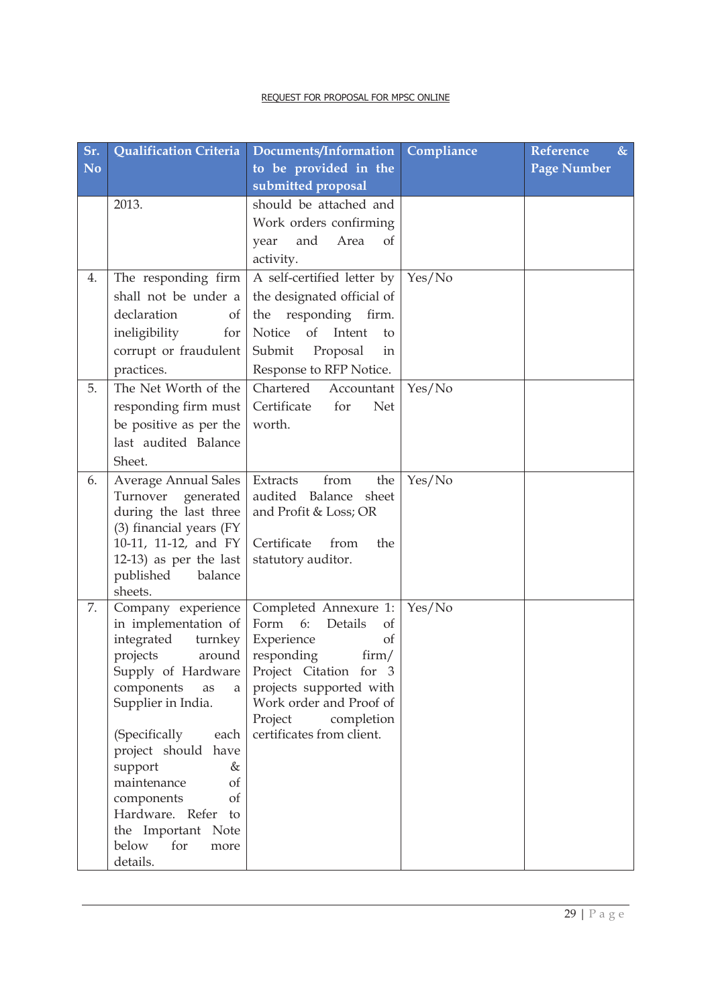| Sr.       | Qualification Criteria                          | Documents/Information                           | Compliance | <b>Reference</b><br>$\&$ |
|-----------|-------------------------------------------------|-------------------------------------------------|------------|--------------------------|
| <b>No</b> |                                                 | to be provided in the                           |            | <b>Page Number</b>       |
|           |                                                 | submitted proposal                              |            |                          |
|           | 2013.                                           | should be attached and                          |            |                          |
|           |                                                 | Work orders confirming                          |            |                          |
|           |                                                 | and<br>Area<br>of<br>year                       |            |                          |
|           |                                                 | activity.                                       |            |                          |
| 4.        | The responding firm                             | A self-certified letter by   Yes/No             |            |                          |
|           | shall not be under a                            | the designated official of                      |            |                          |
|           | declaration<br>of                               | responding firm.<br>the                         |            |                          |
|           | ineligibility<br>for                            | Notice<br>of<br>Intent<br>to                    |            |                          |
|           | corrupt or fraudulent                           | Submit<br>Proposal<br>in                        |            |                          |
|           | practices.                                      | Response to RFP Notice.                         |            |                          |
| 5.        | The Net Worth of the                            | Chartered<br>Accountant                         | Yes/No     |                          |
|           | responding firm must                            | Certificate<br>for<br><b>Net</b>                |            |                          |
|           | be positive as per the                          | worth.                                          |            |                          |
|           | last audited Balance                            |                                                 |            |                          |
|           | Sheet.                                          |                                                 |            |                          |
| 6.        | <b>Average Annual Sales</b>                     | Extracts<br>from<br>the                         | Yes/No     |                          |
|           | Turnover generated                              | audited Balance<br>sheet                        |            |                          |
|           | during the last three                           | and Profit & Loss; OR                           |            |                          |
|           | (3) financial years (FY<br>10-11, 11-12, and FY | Certificate<br>from<br>the                      |            |                          |
|           | $12-13$ ) as per the last                       | statutory auditor.                              |            |                          |
|           | published<br>balance                            |                                                 |            |                          |
|           | sheets.                                         |                                                 |            |                          |
| 7.        | Company experience                              | Completed Annexure 1:                           | Yes/No     |                          |
|           | in implementation of                            | Form 6:<br>Details<br><sub>of</sub>             |            |                          |
|           | integrated<br>turnkey                           | Experience<br>of                                |            |                          |
|           | projects<br>around<br>Supply of Hardware        | responding<br>$\lim/$<br>Project Citation for 3 |            |                          |
|           | components<br>as<br>a                           | projects supported with                         |            |                          |
|           | Supplier in India.                              | Work order and Proof of                         |            |                          |
|           |                                                 | Project<br>completion                           |            |                          |
|           | (Specifically<br>each                           | certificates from client.                       |            |                          |
|           | project should have                             |                                                 |            |                          |
|           | support<br>&                                    |                                                 |            |                          |
|           | maintenance<br>of<br>components<br>of           |                                                 |            |                          |
|           | Hardware. Refer to                              |                                                 |            |                          |
|           | the Important Note                              |                                                 |            |                          |
|           | below<br>for<br>more                            |                                                 |            |                          |
|           | details.                                        |                                                 |            |                          |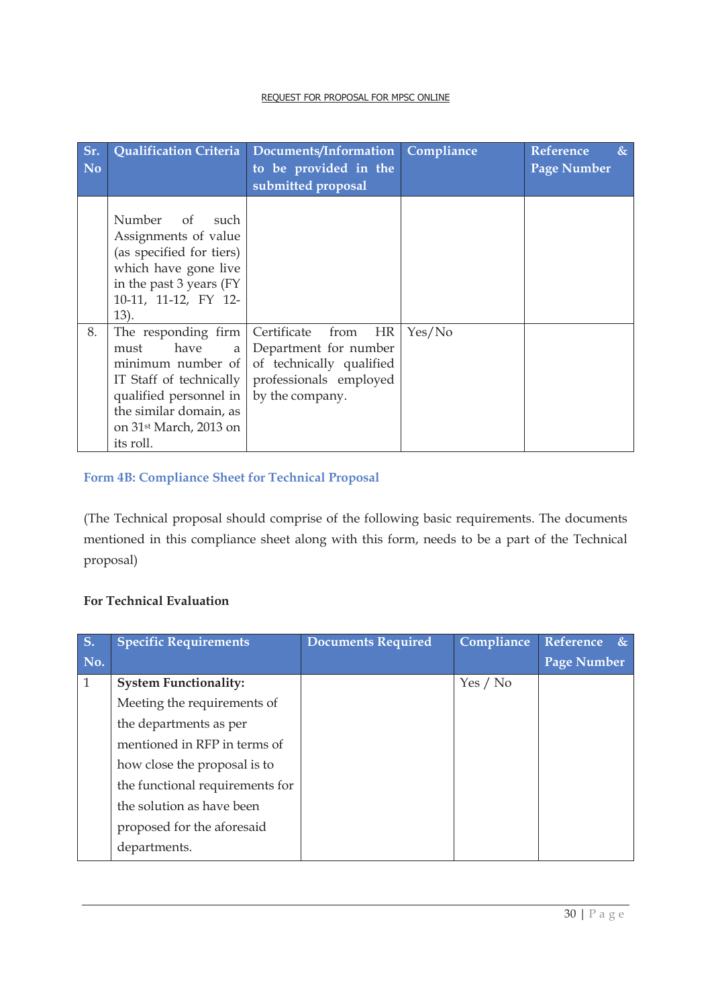| Sr.       | <b>Qualification Criteria</b>                                                                                                                                                                   | Documents/Information                                                                                                              | Compliance | <b>Reference</b><br>$\&$ |
|-----------|-------------------------------------------------------------------------------------------------------------------------------------------------------------------------------------------------|------------------------------------------------------------------------------------------------------------------------------------|------------|--------------------------|
| <b>No</b> |                                                                                                                                                                                                 | to be provided in the<br>submitted proposal                                                                                        |            | <b>Page Number</b>       |
|           | Number of<br>such<br>Assignments of value<br>(as specified for tiers)<br>which have gone live<br>in the past 3 years (FY)<br>10-11, 11-12, FY 12-<br>13).                                       |                                                                                                                                    |            |                          |
| 8.        | The responding firm<br>have<br>must<br>a<br>minimum number of<br>IT Staff of technically<br>qualified personnel in<br>the similar domain, as<br>on 31 <sup>st</sup> March, 2013 on<br>its roll. | Certificate<br><b>HR</b><br>from<br>Department for number<br>of technically qualified<br>professionals employed<br>by the company. | Yes/No     |                          |

# **Form 4B: Compliance Sheet for Technical Proposal**

(The Technical proposal should comprise of the following basic requirements. The documents mentioned in this compliance sheet along with this form, needs to be a part of the Technical proposal)

#### **For Technical Evaluation**

| $\overline{\mathbf{S}}$ . | <b>Specific Requirements</b>    | <b>Documents Required</b> | Compliance | Reference &        |
|---------------------------|---------------------------------|---------------------------|------------|--------------------|
| No.                       |                                 |                           |            | <b>Page Number</b> |
| $\mathbf{1}$              | <b>System Functionality:</b>    |                           | Yes / No   |                    |
|                           | Meeting the requirements of     |                           |            |                    |
|                           | the departments as per          |                           |            |                    |
|                           | mentioned in RFP in terms of    |                           |            |                    |
|                           | how close the proposal is to    |                           |            |                    |
|                           | the functional requirements for |                           |            |                    |
|                           | the solution as have been       |                           |            |                    |
|                           | proposed for the aforesaid      |                           |            |                    |
|                           | departments.                    |                           |            |                    |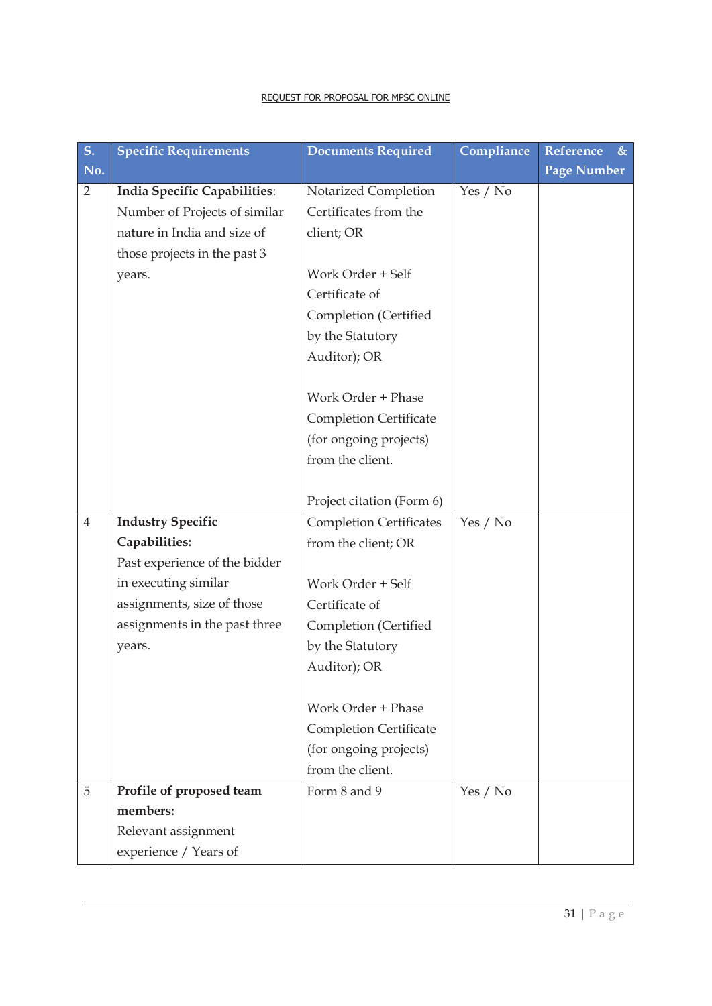| $S_{\cdot}$    | <b>Specific Requirements</b>  | <b>Documents Required</b>      | Compliance | Reference<br>$\&$  |
|----------------|-------------------------------|--------------------------------|------------|--------------------|
| No.            |                               |                                |            | <b>Page Number</b> |
| $\overline{2}$ | India Specific Capabilities:  | Notarized Completion           | Yes / No   |                    |
|                | Number of Projects of similar | Certificates from the          |            |                    |
|                | nature in India and size of   | client; OR                     |            |                    |
|                | those projects in the past 3  |                                |            |                    |
|                | years.                        | Work Order + Self              |            |                    |
|                |                               | Certificate of                 |            |                    |
|                |                               | Completion (Certified          |            |                    |
|                |                               | by the Statutory               |            |                    |
|                |                               | Auditor); OR                   |            |                    |
|                |                               |                                |            |                    |
|                |                               | Work Order + Phase             |            |                    |
|                |                               | <b>Completion Certificate</b>  |            |                    |
|                |                               | (for ongoing projects)         |            |                    |
|                |                               | from the client.               |            |                    |
|                |                               |                                |            |                    |
|                |                               | Project citation (Form 6)      |            |                    |
| $\overline{4}$ | <b>Industry Specific</b>      | <b>Completion Certificates</b> | Yes / No   |                    |
|                | Capabilities:                 | from the client; OR            |            |                    |
|                | Past experience of the bidder |                                |            |                    |
|                | in executing similar          | Work Order + Self              |            |                    |
|                | assignments, size of those    | Certificate of                 |            |                    |
|                | assignments in the past three | Completion (Certified          |            |                    |
|                | years.                        | by the Statutory               |            |                    |
|                |                               | Auditor); OR                   |            |                    |
|                |                               |                                |            |                    |
|                |                               | Work Order + Phase             |            |                    |
|                |                               | <b>Completion Certificate</b>  |            |                    |
|                |                               | (for ongoing projects)         |            |                    |
|                |                               | from the client.               |            |                    |
| 5              | Profile of proposed team      | Form 8 and 9                   | Yes / No   |                    |
|                | members:                      |                                |            |                    |
|                | Relevant assignment           |                                |            |                    |
|                | experience / Years of         |                                |            |                    |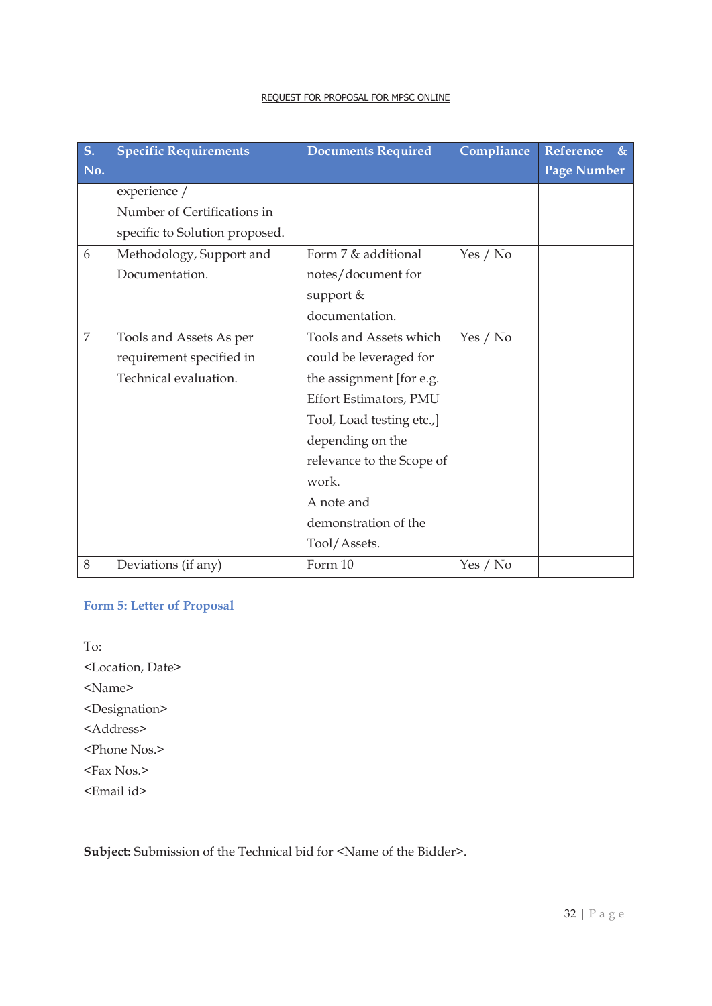| S <sub>1</sub> | <b>Specific Requirements</b>   | <b>Documents Required</b> | Compliance | <b>Reference</b><br>& |
|----------------|--------------------------------|---------------------------|------------|-----------------------|
| No.            |                                |                           |            | <b>Page Number</b>    |
|                | experience /                   |                           |            |                       |
|                | Number of Certifications in    |                           |            |                       |
|                | specific to Solution proposed. |                           |            |                       |
| 6              | Methodology, Support and       | Form 7 & additional       | Yes / No   |                       |
|                | Documentation.                 | notes/document for        |            |                       |
|                |                                | support &                 |            |                       |
|                |                                | documentation.            |            |                       |
| $\overline{7}$ | Tools and Assets As per        | Tools and Assets which    | Yes / No   |                       |
|                | requirement specified in       | could be leveraged for    |            |                       |
|                | Technical evaluation.          | the assignment [for e.g.  |            |                       |
|                |                                | Effort Estimators, PMU    |            |                       |
|                |                                | Tool, Load testing etc.,] |            |                       |
|                |                                | depending on the          |            |                       |
|                |                                | relevance to the Scope of |            |                       |
|                |                                | work.                     |            |                       |
|                |                                | A note and                |            |                       |
|                |                                | demonstration of the      |            |                       |
|                |                                | Tool/Assets.              |            |                       |
| 8              | Deviations (if any)            | Form 10                   | Yes / No   |                       |

# **Form 5: Letter of Proposal**

To: <Location, Date> <Name> <Designation> <Address> <Phone Nos.> <Fax Nos.> <Email id>

Subject: Submission of the Technical bid for <Name of the Bidder>.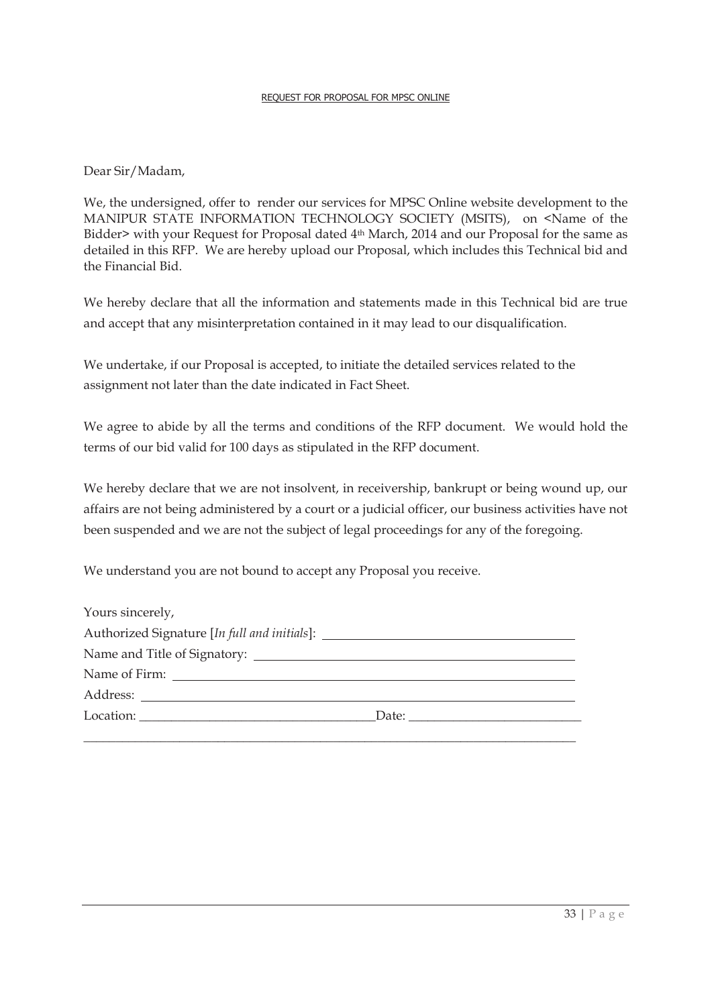Dear Sir/Madam,

We, the undersigned, offer to render our services for MPSC Online website development to the MANIPUR STATE INFORMATION TECHNOLOGY SOCIETY (MSITS), on <Name of the Bidder> with your Request for Proposal dated 4<sup>th</sup> March, 2014 and our Proposal for the same as detailed in this RFP. We are hereby upload our Proposal, which includes this Technical bid and the Financial Bid.

We hereby declare that all the information and statements made in this Technical bid are true and accept that any misinterpretation contained in it may lead to our disqualification.

We undertake, if our Proposal is accepted, to initiate the detailed services related to the assignment not later than the date indicated in Fact Sheet.

We agree to abide by all the terms and conditions of the RFP document. We would hold the terms of our bid valid for 100 days as stipulated in the RFP document.

We hereby declare that we are not insolvent, in receivership, bankrupt or being wound up, our affairs are not being administered by a court or a judicial officer, our business activities have not been suspended and we are not the subject of legal proceedings for any of the foregoing.

We understand you are not bound to accept any Proposal you receive.

| Yours sincerely,                                                                 |                                                                                                                                                                                                                                                                                                                                                                                                               |
|----------------------------------------------------------------------------------|---------------------------------------------------------------------------------------------------------------------------------------------------------------------------------------------------------------------------------------------------------------------------------------------------------------------------------------------------------------------------------------------------------------|
| Authorized Signature [In full and initials]: ___________________________________ |                                                                                                                                                                                                                                                                                                                                                                                                               |
|                                                                                  |                                                                                                                                                                                                                                                                                                                                                                                                               |
|                                                                                  |                                                                                                                                                                                                                                                                                                                                                                                                               |
|                                                                                  |                                                                                                                                                                                                                                                                                                                                                                                                               |
|                                                                                  | Date: $\frac{1}{\sqrt{1-\frac{1}{2}}\sqrt{1-\frac{1}{2}}\sqrt{1-\frac{1}{2}}\sqrt{1-\frac{1}{2}}\sqrt{1-\frac{1}{2}}\sqrt{1-\frac{1}{2}}\sqrt{1-\frac{1}{2}}\sqrt{1-\frac{1}{2}}\sqrt{1-\frac{1}{2}}\sqrt{1-\frac{1}{2}}\sqrt{1-\frac{1}{2}}\sqrt{1-\frac{1}{2}}\sqrt{1-\frac{1}{2}}\sqrt{1-\frac{1}{2}}\sqrt{1-\frac{1}{2}}\sqrt{1-\frac{1}{2}}\sqrt{1-\frac{1}{2}}\sqrt{1-\frac{1}{2}}\sqrt{1-\frac{1}{2}}$ |
|                                                                                  |                                                                                                                                                                                                                                                                                                                                                                                                               |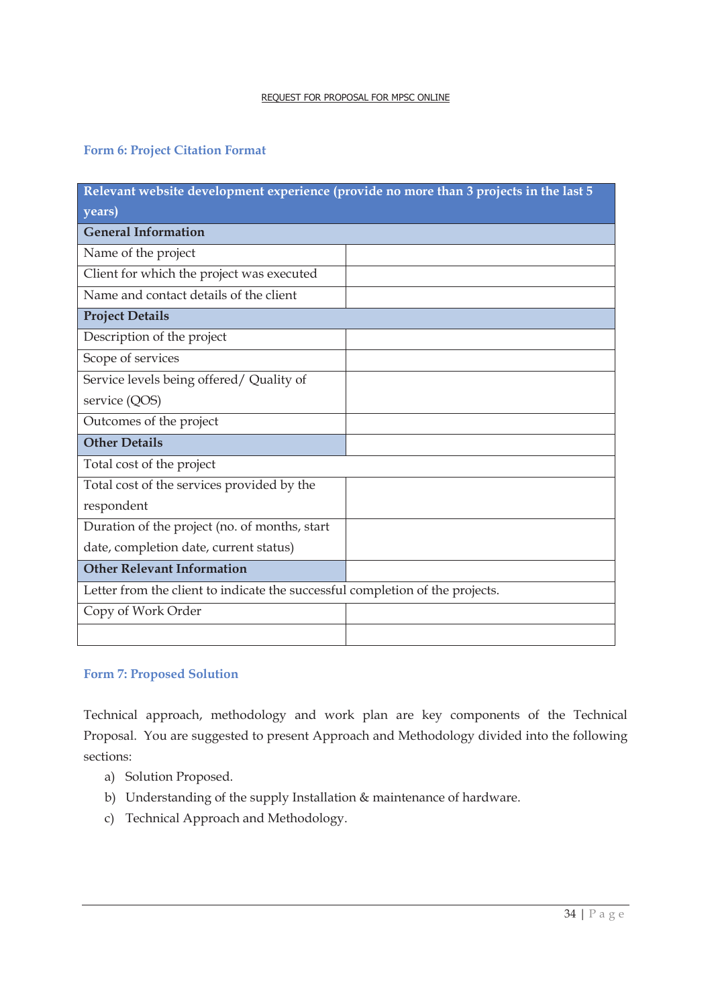#### **Form 6: Project Citation Format**

| Relevant website development experience (provide no more than 3 projects in the last 5 |  |
|----------------------------------------------------------------------------------------|--|
| years)                                                                                 |  |
| <b>General Information</b>                                                             |  |
| Name of the project                                                                    |  |
| Client for which the project was executed                                              |  |
| Name and contact details of the client                                                 |  |
| <b>Project Details</b>                                                                 |  |
| Description of the project                                                             |  |
| Scope of services                                                                      |  |
| Service levels being offered/Quality of                                                |  |
| service (QOS)                                                                          |  |
| Outcomes of the project                                                                |  |
| <b>Other Details</b>                                                                   |  |
| Total cost of the project                                                              |  |
| Total cost of the services provided by the                                             |  |
| respondent                                                                             |  |
| Duration of the project (no. of months, start                                          |  |
| date, completion date, current status)                                                 |  |
| <b>Other Relevant Information</b>                                                      |  |
| Letter from the client to indicate the successful completion of the projects.          |  |
| Copy of Work Order                                                                     |  |
|                                                                                        |  |

#### **Form 7: Proposed Solution**

Technical approach, methodology and work plan are key components of the Technical Proposal. You are suggested to present Approach and Methodology divided into the following sections:

- a) Solution Proposed.
- b) Understanding of the supply Installation & maintenance of hardware.
- c) Technical Approach and Methodology.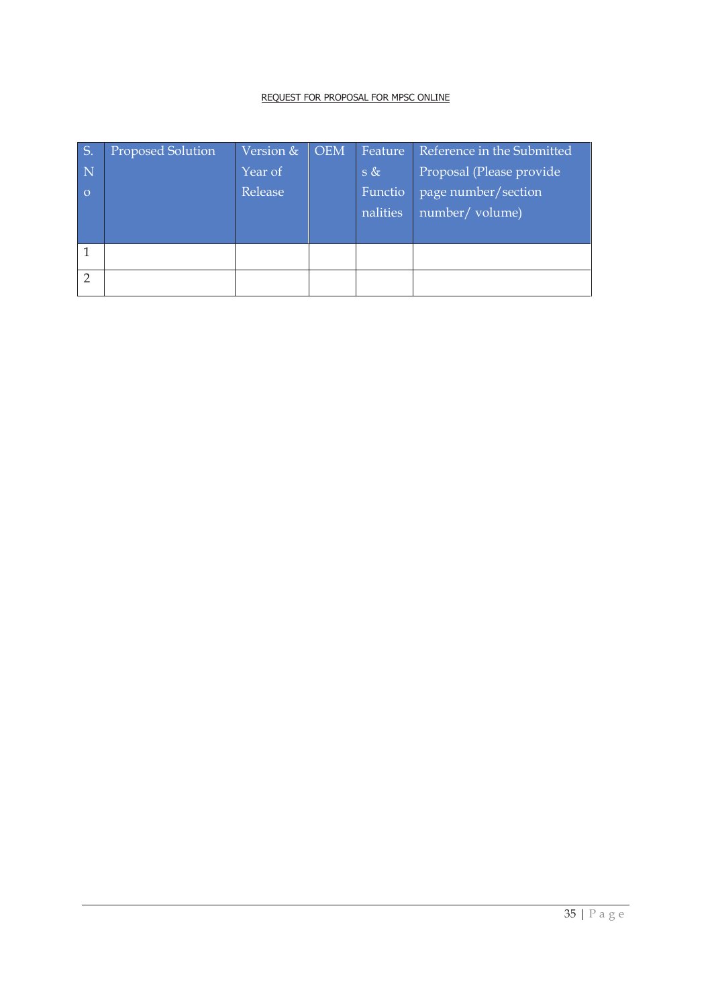| S.             | Proposed Solution | Version & | <b>OEM</b> | Feature             | Reference in the Submitted             |
|----------------|-------------------|-----------|------------|---------------------|----------------------------------------|
| $\mathbf N$    |                   | Year of   |            | s &                 | Proposal (Please provide               |
| $\Omega$       |                   | Release   |            | Functio<br>nalities | page number/section<br>number/ volume) |
|                |                   |           |            |                     |                                        |
|                |                   |           |            |                     |                                        |
| $\overline{2}$ |                   |           |            |                     |                                        |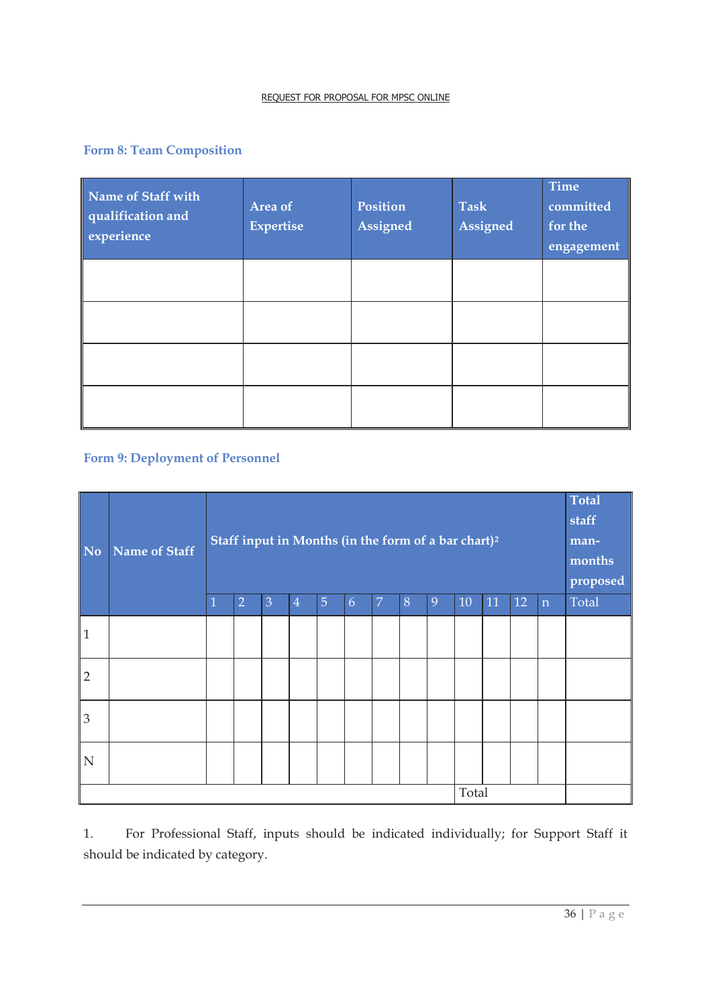# **Form 8: Team Composition**

| Name of Staff with<br>qualification and<br>experience | Area of<br>Expertise | Position<br>Assigned | <b>Task</b><br>Assigned | <b>Time</b><br>committed<br>for the<br>engagement |
|-------------------------------------------------------|----------------------|----------------------|-------------------------|---------------------------------------------------|
|                                                       |                      |                      |                         |                                                   |
|                                                       |                      |                      |                         |                                                   |
|                                                       |                      |                      |                         |                                                   |
|                                                       |                      |                      |                         |                                                   |

# **Form 9: Deployment of Personnel**

| <b>No</b>      | Name of Staff | Staff input in Months (in the form of a bar chart) <sup>2</sup> |                |                |                |                |   |                |   |   | Total<br>staff<br>man-<br>months<br>proposed |    |    |             |       |
|----------------|---------------|-----------------------------------------------------------------|----------------|----------------|----------------|----------------|---|----------------|---|---|----------------------------------------------|----|----|-------------|-------|
|                |               | $\overline{1}$                                                  | $\overline{2}$ | $\overline{3}$ | $\overline{4}$ | $\overline{5}$ | 6 | $\overline{7}$ | 8 | 9 | 10                                           | 11 | 12 | $\mathbf n$ | Total |
| $\vert$ 1      |               |                                                                 |                |                |                |                |   |                |   |   |                                              |    |    |             |       |
| $\overline{2}$ |               |                                                                 |                |                |                |                |   |                |   |   |                                              |    |    |             |       |
| $\overline{3}$ |               |                                                                 |                |                |                |                |   |                |   |   |                                              |    |    |             |       |
| $\mathbf N$    |               |                                                                 |                |                |                |                |   |                |   |   |                                              |    |    |             |       |
| Total          |               |                                                                 |                |                |                |                |   |                |   |   |                                              |    |    |             |       |

1. For Professional Staff, inputs should be indicated individually; for Support Staff it should be indicated by category.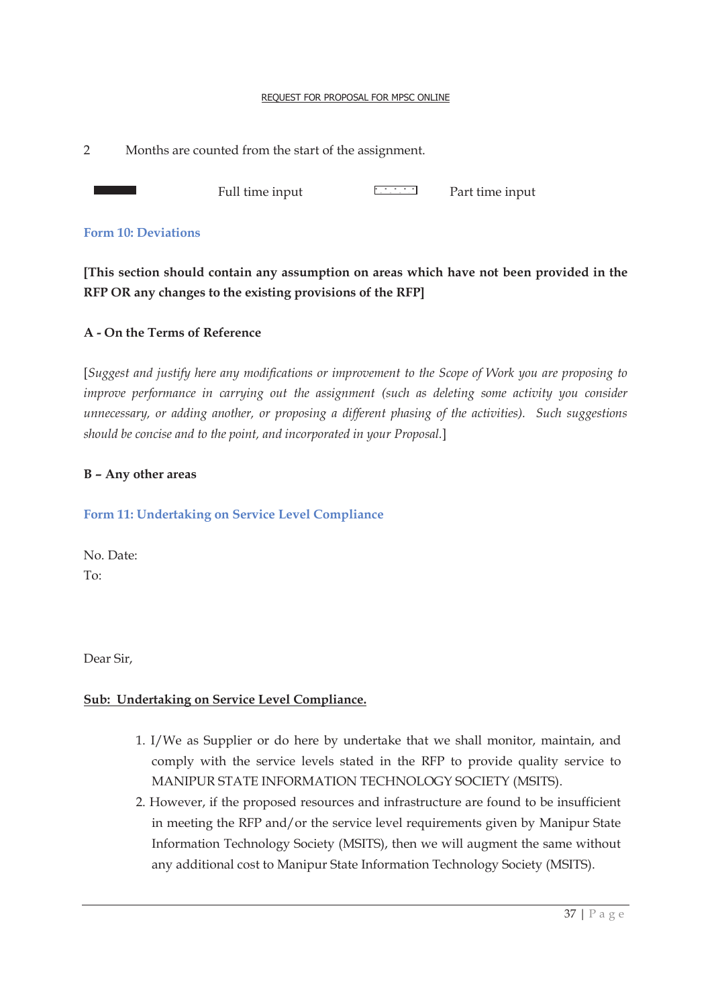2 Months are counted from the start of the assignment.

Full time input **Full time input** Part time input

#### **Form 10: Deviations**

**[This section should contain any assumption on areas which have not been provided in the RFP OR any changes to the existing provisions of the RFP]** 

#### **A - On the Terms of Reference**

[*Suggest and justify here any modifications or improvement to the Scope of Work you are proposing to improve performance in carrying out the assignment (such as deleting some activity you consider unnecessary, or adding another, or proposing a different phasing of the activities). Such suggestions should be concise and to the point, and incorporated in your Proposal.*]

#### **B – Any other areas**

#### **Form 11: Undertaking on Service Level Compliance**

No. Date: To:

Dear Sir,

#### **Sub: Undertaking on Service Level Compliance.**

- 1. I/We as Supplier or do here by undertake that we shall monitor, maintain, and comply with the service levels stated in the RFP to provide quality service to MANIPUR STATE INFORMATION TECHNOLOGY SOCIETY (MSITS).
- 2. However, if the proposed resources and infrastructure are found to be insufficient in meeting the RFP and/or the service level requirements given by Manipur State Information Technology Society (MSITS), then we will augment the same without any additional cost to Manipur State Information Technology Society (MSITS).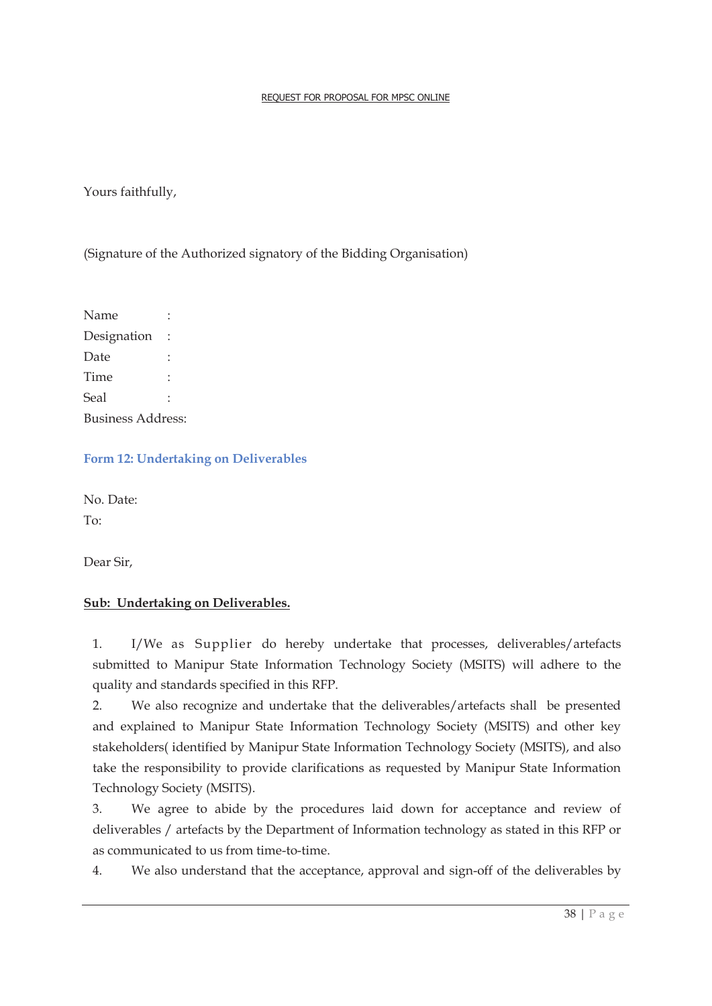Yours faithfully,

(Signature of the Authorized signatory of the Bidding Organisation)

Name : Designation : Date : Time · Seal : Business Address:

**Form 12: Undertaking on Deliverables**

No. Date: To:

Dear Sir,

# **Sub: Undertaking on Deliverables.**

1. I/We as Supplier do hereby undertake that processes, deliverables/artefacts submitted to Manipur State Information Technology Society (MSITS) will adhere to the quality and standards specified in this RFP.

2. We also recognize and undertake that the deliverables/artefacts shall be presented and explained to Manipur State Information Technology Society (MSITS) and other key stakeholders( identified by Manipur State Information Technology Society (MSITS), and also take the responsibility to provide clarifications as requested by Manipur State Information Technology Society (MSITS).

3. We agree to abide by the procedures laid down for acceptance and review of deliverables / artefacts by the Department of Information technology as stated in this RFP or as communicated to us from time-to-time.

4. We also understand that the acceptance, approval and sign-off of the deliverables by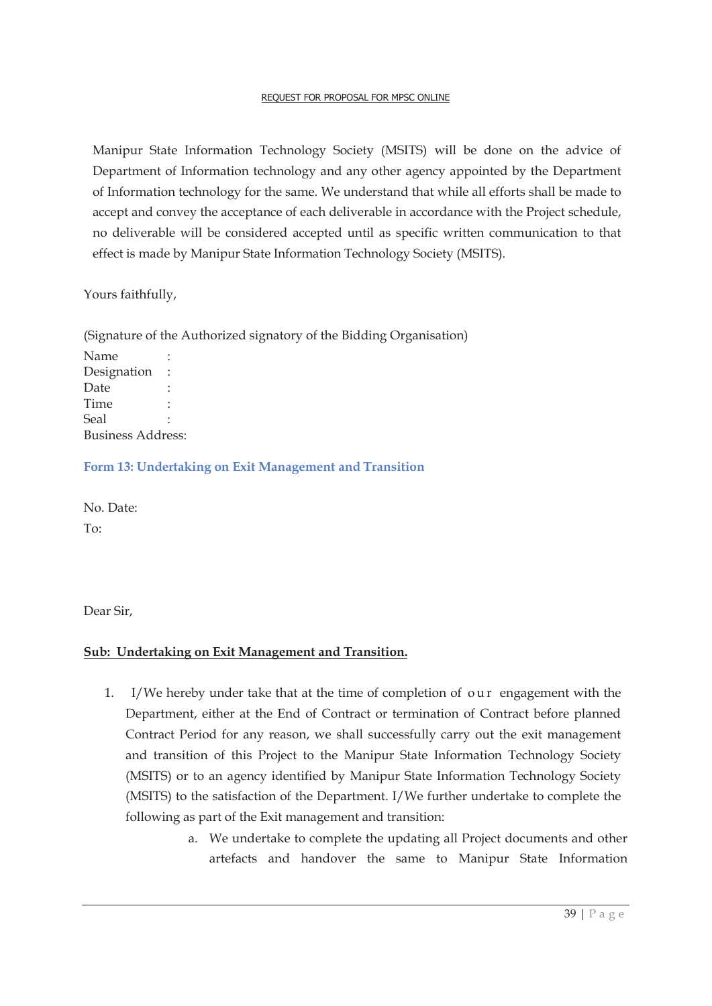Manipur State Information Technology Society (MSITS) will be done on the advice of Department of Information technology and any other agency appointed by the Department of Information technology for the same. We understand that while all efforts shall be made to accept and convey the acceptance of each deliverable in accordance with the Project schedule, no deliverable will be considered accepted until as specific written communication to that effect is made by Manipur State Information Technology Society (MSITS).

Yours faithfully,

(Signature of the Authorized signatory of the Bidding Organisation) Name Designation : Date Time : Seal : Business Address:

**Form 13: Undertaking on Exit Management and Transition** 

No. Date: To:

Dear Sir,

#### **Sub: Undertaking on Exit Management and Transition.**

- 1. I/We hereby under take that at the time of completion of our engagement with the Department, either at the End of Contract or termination of Contract before planned Contract Period for any reason, we shall successfully carry out the exit management and transition of this Project to the Manipur State Information Technology Society (MSITS) or to an agency identified by Manipur State Information Technology Society (MSITS) to the satisfaction of the Department. I/We further undertake to complete the following as part of the Exit management and transition:
	- a. We undertake to complete the updating all Project documents and other artefacts and handover the same to Manipur State Information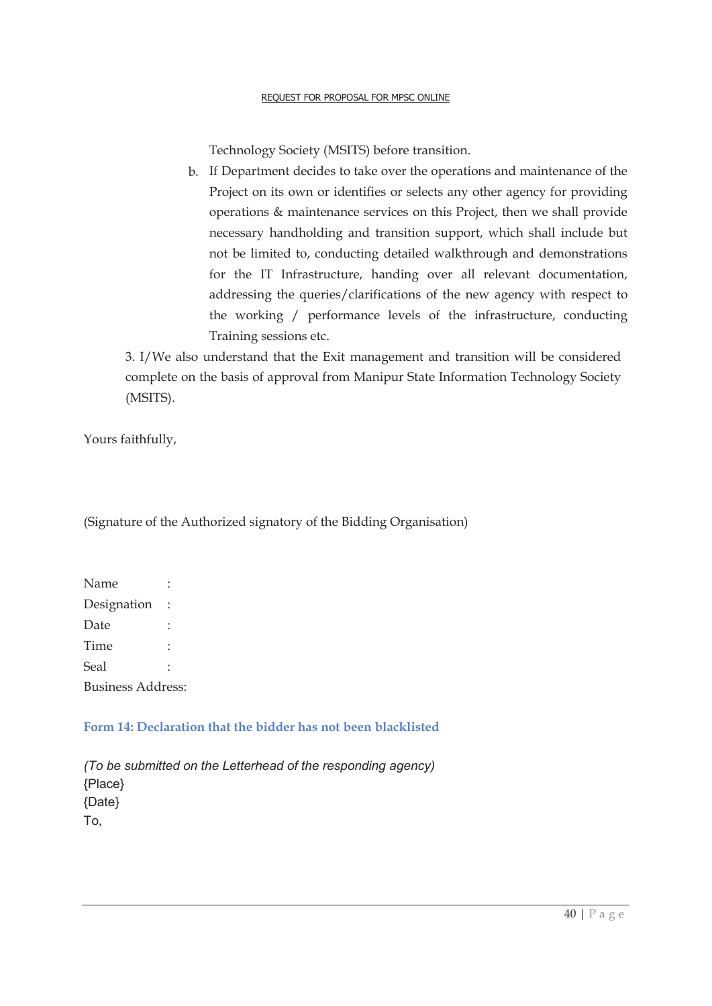Technology Society (MSITS) before transition.

b. If Department decides to take over the operations and maintenance of the Project on its own or identifies or selects any other agency for providing operations & maintenance services on this Project, then we shall provide necessary handholding and transition support, which shall include but not be limited to, conducting detailed walkthrough and demonstrations for the IT Infrastructure, handing over all relevant documentation, addressing the queries/clarifications of the new agency with respect to the working / performance levels of the infrastructure, conducting Training sessions etc.

3. I/We also understand that the Exit management and transition will be considered complete on the basis of approval from Manipur State Information Technology Society (MSITS).

Yours faithfully,

(Signature of the Authorized signatory of the Bidding Organisation)

| Name                     |  |  |  |  |  |
|--------------------------|--|--|--|--|--|
| Designation              |  |  |  |  |  |
| Date                     |  |  |  |  |  |
| Time                     |  |  |  |  |  |
| Seal                     |  |  |  |  |  |
| <b>Business Address:</b> |  |  |  |  |  |

# **Form 14: Declaration that the bidder has not been blacklisted**

*(To be submitted on the Letterhead of the responding agency)*  {Place} {Date} To,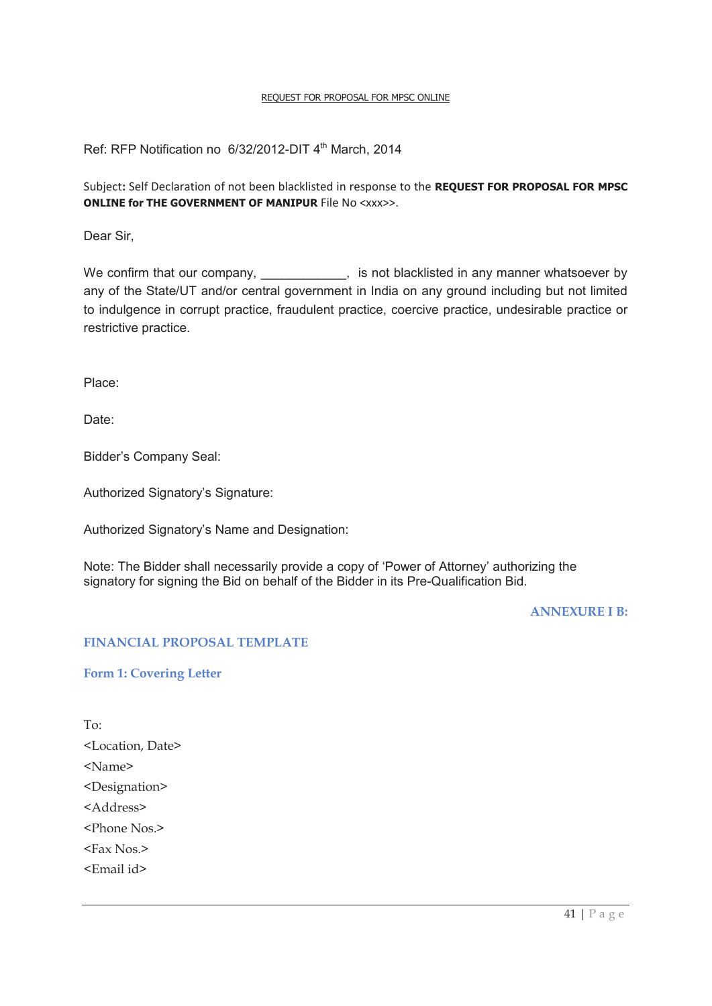Ref: RFP Notification no 6/32/2012-DIT 4<sup>th</sup> March, 2014

Subject**:** Self Declaration of not been blacklisted in response to the **REQUEST FOR PROPOSAL FOR MPSC ONLINE for THE GOVERNMENT OF MANIPUR File No <xxx>>.** 

Dear Sir,

We confirm that our company, \_\_\_\_\_\_\_\_\_\_, is not blacklisted in any manner whatsoever by any of the State/UT and/or central government in India on any ground including but not limited to indulgence in corrupt practice, fraudulent practice, coercive practice, undesirable practice or restrictive practice.

Place:

Date:

Bidder's Company Seal:

Authorized Signatory's Signature:

Authorized Signatory's Name and Designation:

Note: The Bidder shall necessarily provide a copy of 'Power of Attorney' authorizing the signatory for signing the Bid on behalf of the Bidder in its Pre-Qualification Bid.

**ANNEXURE I B:** 

#### **FINANCIAL PROPOSAL TEMPLATE**

**Form 1: Covering Letter** 

To: <Location, Date> <Name> <Designation> <Address> <Phone Nos.> <Fax Nos.> <Email id>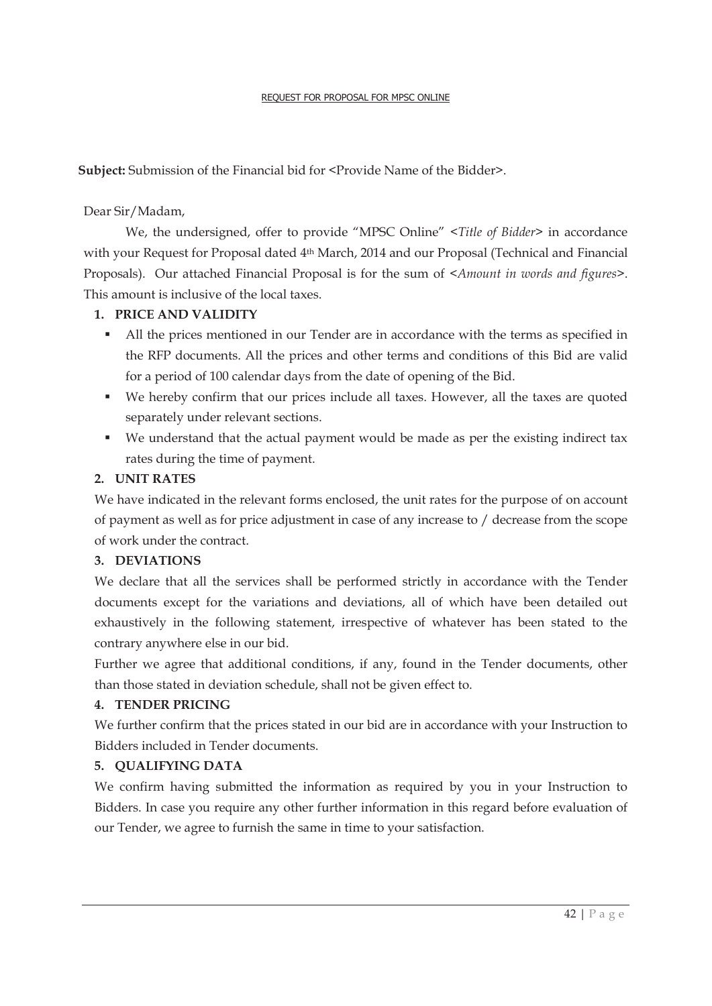Subject: Submission of the Financial bid for <Provide Name of the Bidder>.

# Dear Sir/Madam,

 We, the undersigned, offer to provide "MPSC Online" <*Title of Bidder>* in accordance with your Request for Proposal dated 4th March, 2014 and our Proposal (Technical and Financial Proposals). Our attached Financial Proposal is for the sum of <*Amount in words and figures>*. This amount is inclusive of the local taxes.

# **1. PRICE AND VALIDITY**

- If All the prices mentioned in our Tender are in accordance with the terms as specified in the RFP documents. All the prices and other terms and conditions of this Bid are valid for a period of 100 calendar days from the date of opening of the Bid.
- ß We hereby confirm that our prices include all taxes. However, all the taxes are quoted separately under relevant sections.
- We understand that the actual payment would be made as per the existing indirect tax rates during the time of payment.

# **2. UNIT RATES**

We have indicated in the relevant forms enclosed, the unit rates for the purpose of on account of payment as well as for price adjustment in case of any increase to / decrease from the scope of work under the contract.

# **3. DEVIATIONS**

We declare that all the services shall be performed strictly in accordance with the Tender documents except for the variations and deviations, all of which have been detailed out exhaustively in the following statement, irrespective of whatever has been stated to the contrary anywhere else in our bid.

Further we agree that additional conditions, if any, found in the Tender documents, other than those stated in deviation schedule, shall not be given effect to.

# **4. TENDER PRICING**

We further confirm that the prices stated in our bid are in accordance with your Instruction to Bidders included in Tender documents.

# **5. QUALIFYING DATA**

We confirm having submitted the information as required by you in your Instruction to Bidders. In case you require any other further information in this regard before evaluation of our Tender, we agree to furnish the same in time to your satisfaction.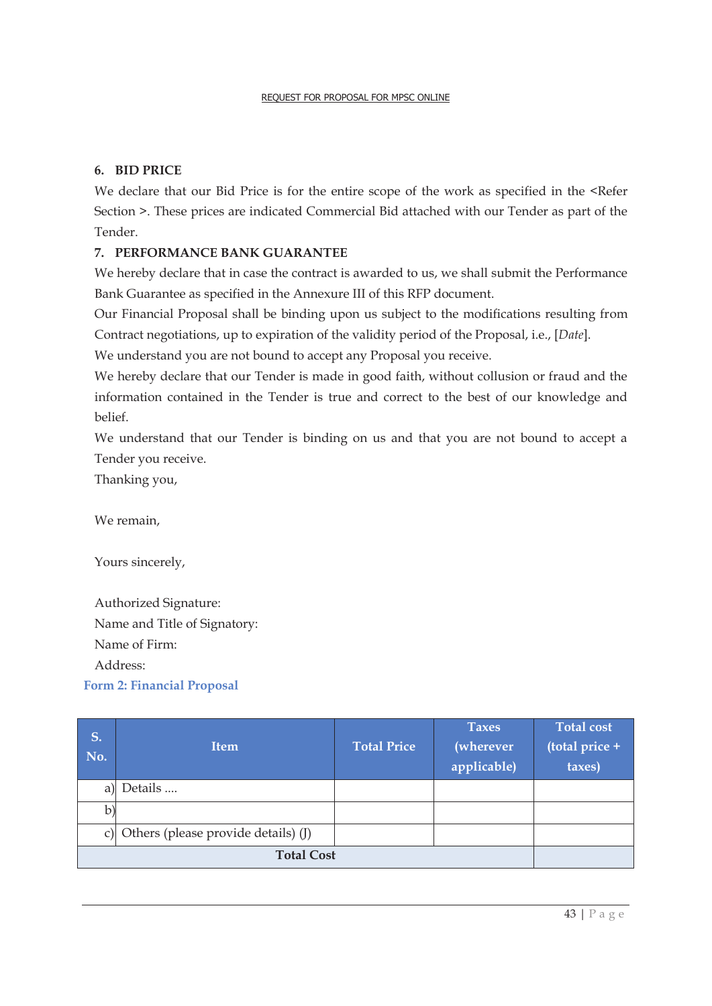# **6. BID PRICE**

We declare that our Bid Price is for the entire scope of the work as specified in the <Refer Section >. These prices are indicated Commercial Bid attached with our Tender as part of the Tender.

# **7. PERFORMANCE BANK GUARANTEE**

We hereby declare that in case the contract is awarded to us, we shall submit the Performance Bank Guarantee as specified in the Annexure III of this RFP document.

Our Financial Proposal shall be binding upon us subject to the modifications resulting from Contract negotiations, up to expiration of the validity period of the Proposal, i.e., [*Date*].

We understand you are not bound to accept any Proposal you receive.

We hereby declare that our Tender is made in good faith, without collusion or fraud and the information contained in the Tender is true and correct to the best of our knowledge and belief.

We understand that our Tender is binding on us and that you are not bound to accept a Tender you receive.

Thanking you,

We remain,

Yours sincerely,

Authorized Signature: Name and Title of Signatory: Name of Firm: Address:

**Form 2: Financial Proposal** 

| S.<br>No. | <b>Item</b>                            | <b>Total Price</b> | <b>Taxes</b><br><i>(wherever)</i><br>applicable) | <b>Total cost</b><br>(total price +<br>taxes) |
|-----------|----------------------------------------|--------------------|--------------------------------------------------|-----------------------------------------------|
| a)        | Details                                |                    |                                                  |                                               |
| b)        |                                        |                    |                                                  |                                               |
|           | c) Others (please provide details) (J) |                    |                                                  |                                               |
|           |                                        |                    |                                                  |                                               |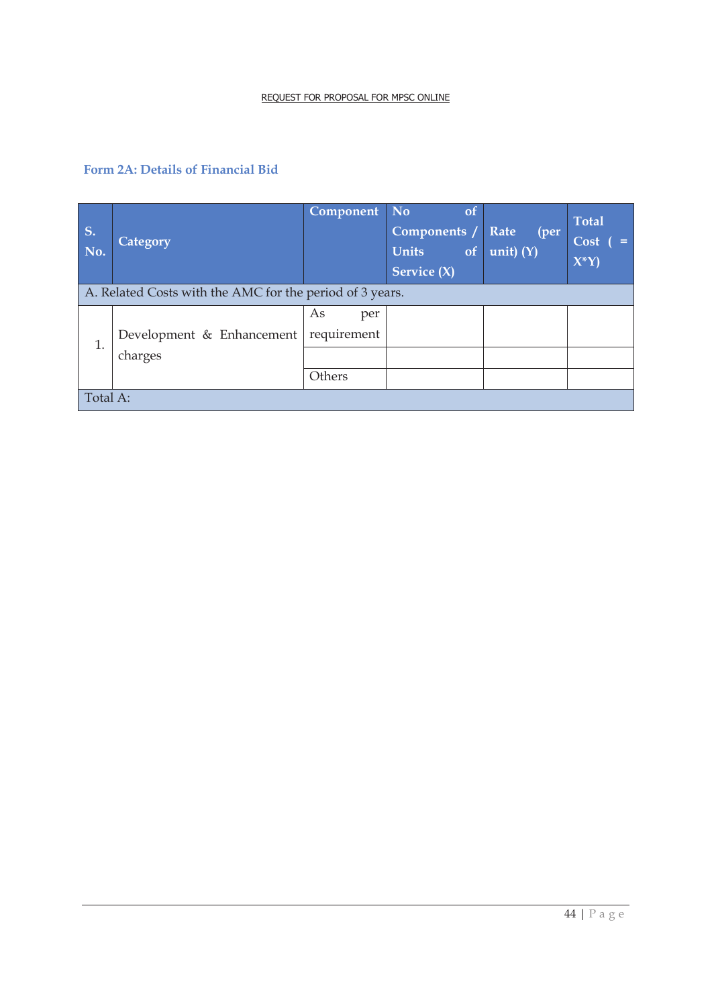# **Form 2A: Details of Financial Bid**

| <b>S.</b><br>No. | <b>Category</b>                                          | Component No             | <sub>ot</sub><br>Components /<br><b>Units</b><br>of<br>Service $(X)$ | Rate<br>(per<br>unit) $(Y)$ | <b>Total</b><br>Cost<br>$\epsilon =$<br>$X^*Y$ |  |  |  |  |  |
|------------------|----------------------------------------------------------|--------------------------|----------------------------------------------------------------------|-----------------------------|------------------------------------------------|--|--|--|--|--|
|                  | A. Related Costs with the AMC for the period of 3 years. |                          |                                                                      |                             |                                                |  |  |  |  |  |
| 1.               | Development & Enhancement                                | As<br>per<br>requirement |                                                                      |                             |                                                |  |  |  |  |  |
|                  | charges                                                  |                          |                                                                      |                             |                                                |  |  |  |  |  |
|                  |                                                          | Others                   |                                                                      |                             |                                                |  |  |  |  |  |
| Total A:         |                                                          |                          |                                                                      |                             |                                                |  |  |  |  |  |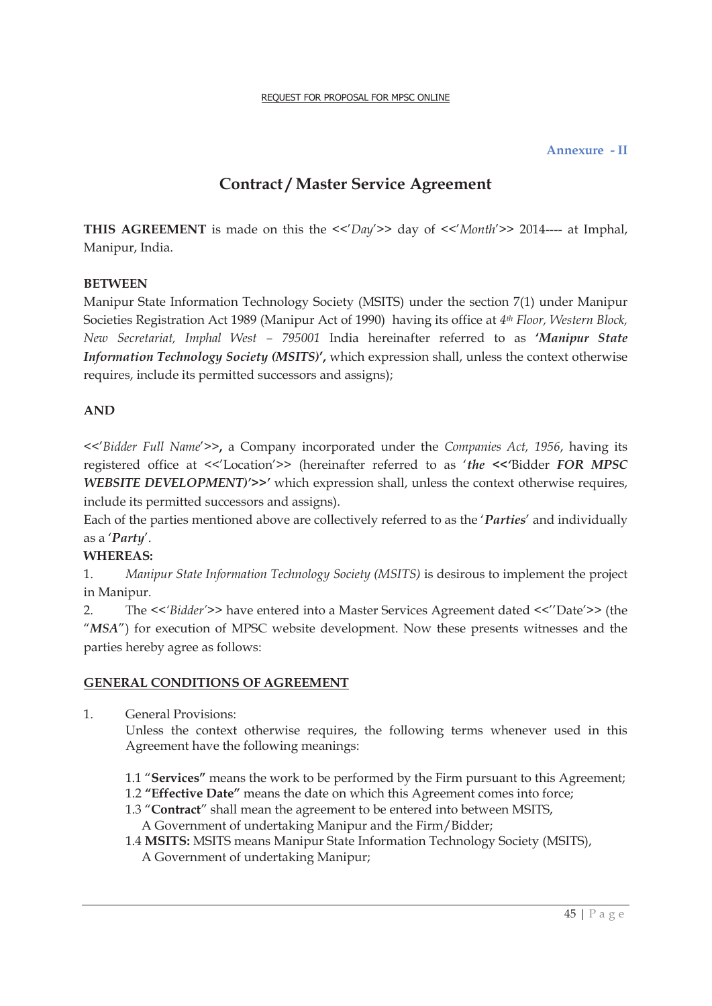#### **Annexure - II**

# **Contract / Master Service Agreement**

**THIS AGREEMENT** is made on this the <<'*Day*'>> day of <<'*Month*'>> 2014---- at Imphal, Manipur, India.

#### **BETWEEN**

Manipur State Information Technology Society (MSITS) under the section 7(1) under Manipur Societies Registration Act 1989 (Manipur Act of 1990) having its office at *4th Floor, Western Block, New Secretariat, Imphal West – 795001* India hereinafter referred to as **'***Manipur State Information Technology Society (MSITS)***',** which expression shall, unless the context otherwise requires, include its permitted successors and assigns);

#### **AND**

<<'*Bidder Full Name*'>>**,** a Company incorporated under the *Companies Act, 1956*, having its registered office at <<'Location'>> (hereinafter referred to as '*the <<'*Bidder *FOR MPSC WEBSITE DEVELOPMENT)'>>'* which expression shall, unless the context otherwise requires, include its permitted successors and assigns).

Each of the parties mentioned above are collectively referred to as the '*Parties*' and individually as a '*Party*'.

#### **WHEREAS:**

1. *Manipur State Information Technology Society (MSITS)* is desirous to implement the project in Manipur.

2. The  $\langle \langle$ 'Bidder'>> have entered into a Master Services Agreement dated  $\langle \langle \rangle'$ Date'>> (the "MSA") for execution of MPSC website development. Now these presents witnesses and the parties hereby agree as follows:

#### **GENERAL CONDITIONS OF AGREEMENT**

1. General Provisions:

 Unless the context otherwise requires, the following terms whenever used in this Agreement have the following meanings:

- 1.1 "**Services"** means the work to be performed by the Firm pursuant to this Agreement;
- 1.2 **"Effective Date"** means the date on which this Agreement comes into force;
- 1.3 "**Contract**" shall mean the agreement to be entered into between MSITS,
	- A Government of undertaking Manipur and the Firm/Bidder;

1.4 **MSITS:** MSITS means Manipur State Information Technology Society (MSITS),

A Government of undertaking Manipur;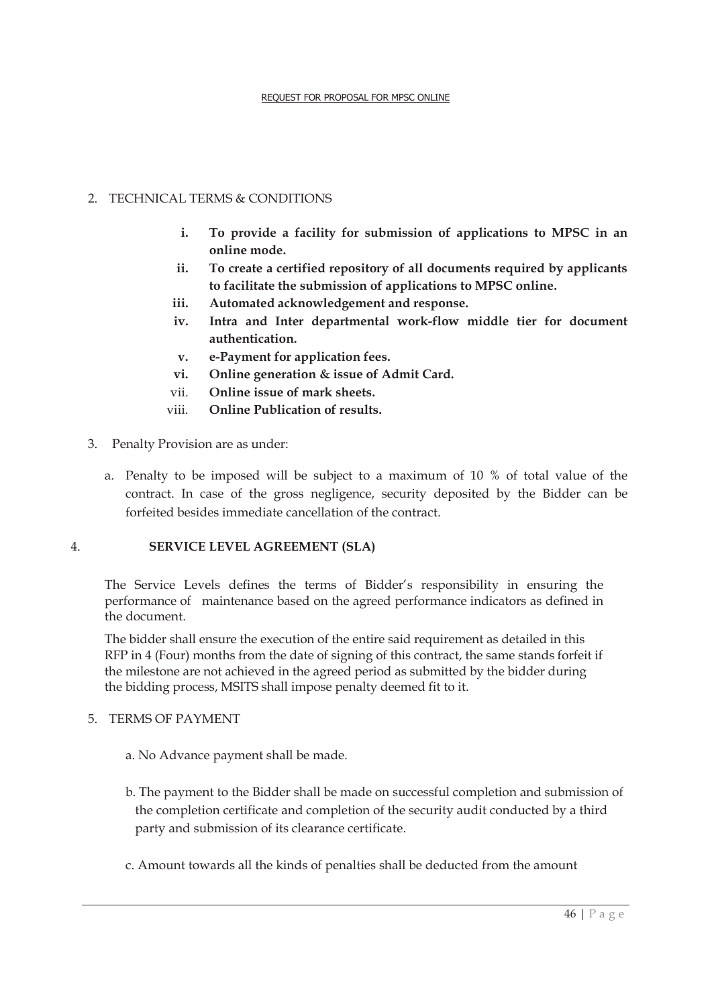# 2. TECHNICAL TERMS & CONDITIONS

- **i. To provide a facility for submission of applications to MPSC in an online mode.**
- **ii. To create a certified repository of all documents required by applicants to facilitate the submission of applications to MPSC online.**
- **iii. Automated acknowledgement and response.**
- **iv. Intra and Inter departmental work-flow middle tier for document authentication.**
- **v. e-Payment for application fees.**
- **vi. Online generation & issue of Admit Card.**
- vii. **Online issue of mark sheets.**
- viii. **Online Publication of results.**
- 3. Penalty Provision are as under:
	- a. Penalty to be imposed will be subject to a maximum of 10 % of total value of the contract. In case of the gross negligence, security deposited by the Bidder can be forfeited besides immediate cancellation of the contract.

#### 4. **SERVICE LEVEL AGREEMENT (SLA)**

The Service Levels defines the terms of Bidder's responsibility in ensuring the performance of maintenance based on the agreed performance indicators as defined in the document.

The bidder shall ensure the execution of the entire said requirement as detailed in this RFP in 4 (Four) months from the date of signing of this contract, the same stands forfeit if the milestone are not achieved in the agreed period as submitted by the bidder during the bidding process, MSITS shall impose penalty deemed fit to it.

#### 5. TERMS OF PAYMENT

- a. No Advance payment shall be made.
- b. The payment to the Bidder shall be made on successful completion and submission of the completion certificate and completion of the security audit conducted by a third party and submission of its clearance certificate.
- c. Amount towards all the kinds of penalties shall be deducted from the amount